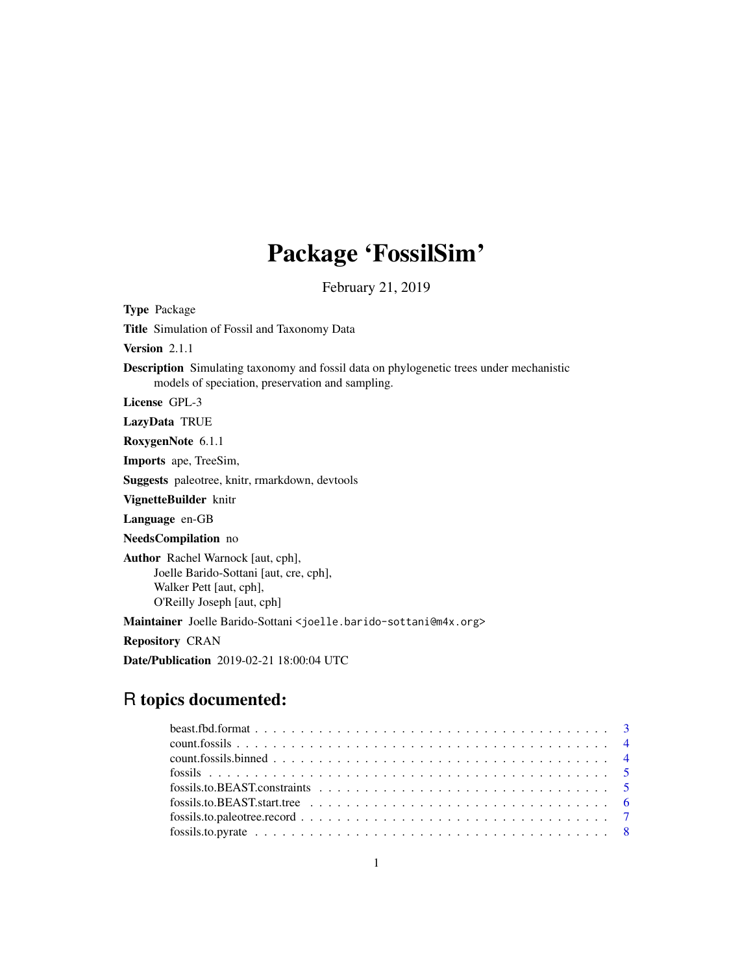# Package 'FossilSim'

February 21, 2019

Title Simulation of Fossil and Taxonomy Data Version 2.1.1 Description Simulating taxonomy and fossil data on phylogenetic trees under mechanistic models of speciation, preservation and sampling. License GPL-3 LazyData TRUE RoxygenNote 6.1.1 Imports ape, TreeSim, Suggests paleotree, knitr, rmarkdown, devtools VignetteBuilder knitr Language en-GB NeedsCompilation no Author Rachel Warnock [aut, cph], Joelle Barido-Sottani [aut, cre, cph], Walker Pett [aut, cph], O'Reilly Joseph [aut, cph] Maintainer Joelle Barido-Sottani <joelle.barido-sottani@m4x.org> Repository CRAN Date/Publication 2019-02-21 18:00:04 UTC

# R topics documented:

Type Package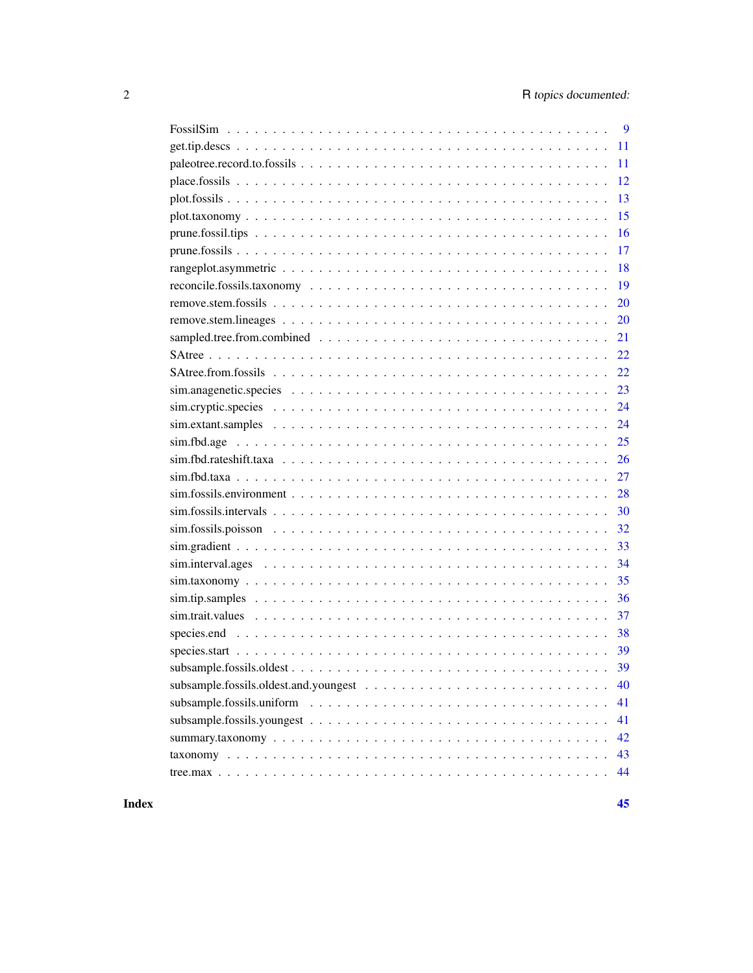| 9                              |
|--------------------------------|
| 11                             |
| 11                             |
| 12                             |
| 13                             |
| 15                             |
| 16                             |
| 17                             |
| 18                             |
| 19                             |
| 20                             |
| 20                             |
| 21                             |
| 22                             |
| 22                             |
| 23                             |
| 24                             |
| 24                             |
| 25                             |
| 26                             |
| 27                             |
| 28                             |
| 30                             |
| 32                             |
| 33                             |
| 34                             |
| 35                             |
| 36                             |
| 37                             |
| 38                             |
| 39                             |
| 39<br>subsample.fossils.oldest |
| 40                             |
| 41                             |
| 41                             |
| 42                             |
| 43                             |
| 44                             |
|                                |

#### **Index** [45](#page-44-0)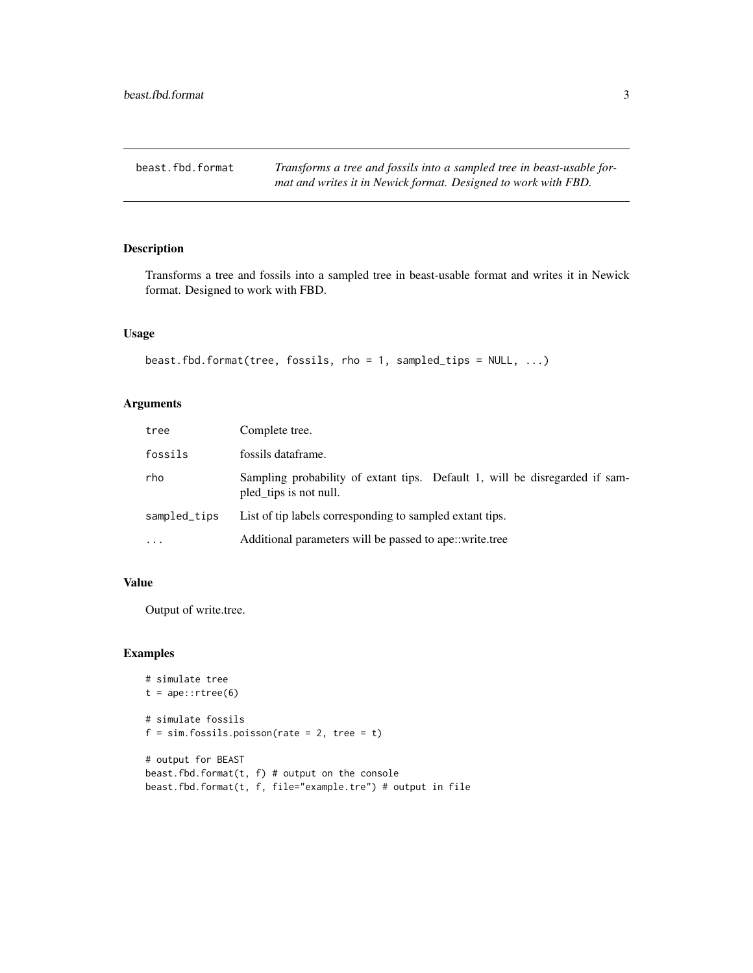<span id="page-2-0"></span>beast.fbd.format *Transforms a tree and fossils into a sampled tree in beast-usable format and writes it in Newick format. Designed to work with FBD.*

# Description

Transforms a tree and fossils into a sampled tree in beast-usable format and writes it in Newick format. Designed to work with FBD.

#### Usage

```
beast.fbd.format(tree, fossils, rho = 1, sampled_tips = NULL, ...)
```
# Arguments

| tree         | Complete tree.                                                                                        |
|--------------|-------------------------------------------------------------------------------------------------------|
| fossils      | fossils dataframe.                                                                                    |
| rho          | Sampling probability of extant tips. Default 1, will be disregarded if sam-<br>pled_tips is not null. |
| sampled_tips | List of tip labels corresponding to sampled extant tips.                                              |
| $\cdots$     | Additional parameters will be passed to ape::write.tree                                               |

#### Value

Output of write.tree.

#### Examples

```
# simulate tree
t = ape::rtree(6)# simulate fossils
f = sim.fossils.poisson(rate = 2, tree = t)# output for BEAST
beast.fbd.format(t, f) # output on the console
beast.fbd.format(t, f, file="example.tre") # output in file
```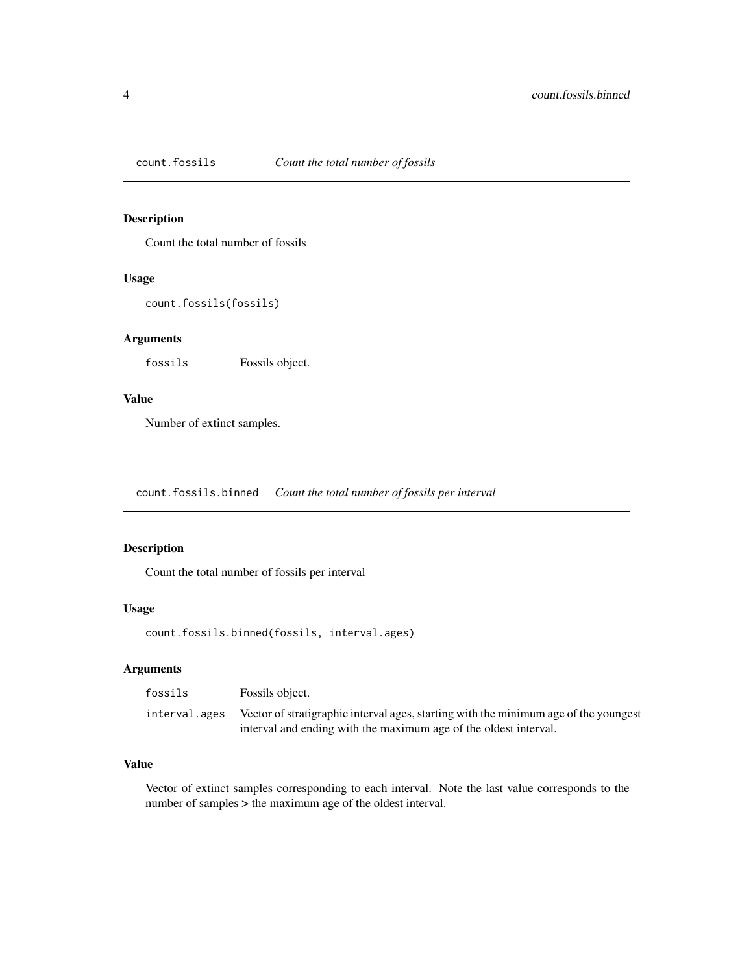<span id="page-3-0"></span>

Count the total number of fossils

# Usage

```
count.fossils(fossils)
```
#### Arguments

fossils Fossils object.

# Value

Number of extinct samples.

count.fossils.binned *Count the total number of fossils per interval*

# Description

Count the total number of fossils per interval

#### Usage

count.fossils.binned(fossils, interval.ages)

# Arguments

| fossils       | Fossils object.                                                                      |
|---------------|--------------------------------------------------------------------------------------|
| interval.ages | Vector of stratigraphic interval ages, starting with the minimum age of the youngest |
|               | interval and ending with the maximum age of the oldest interval.                     |

# Value

Vector of extinct samples corresponding to each interval. Note the last value corresponds to the number of samples > the maximum age of the oldest interval.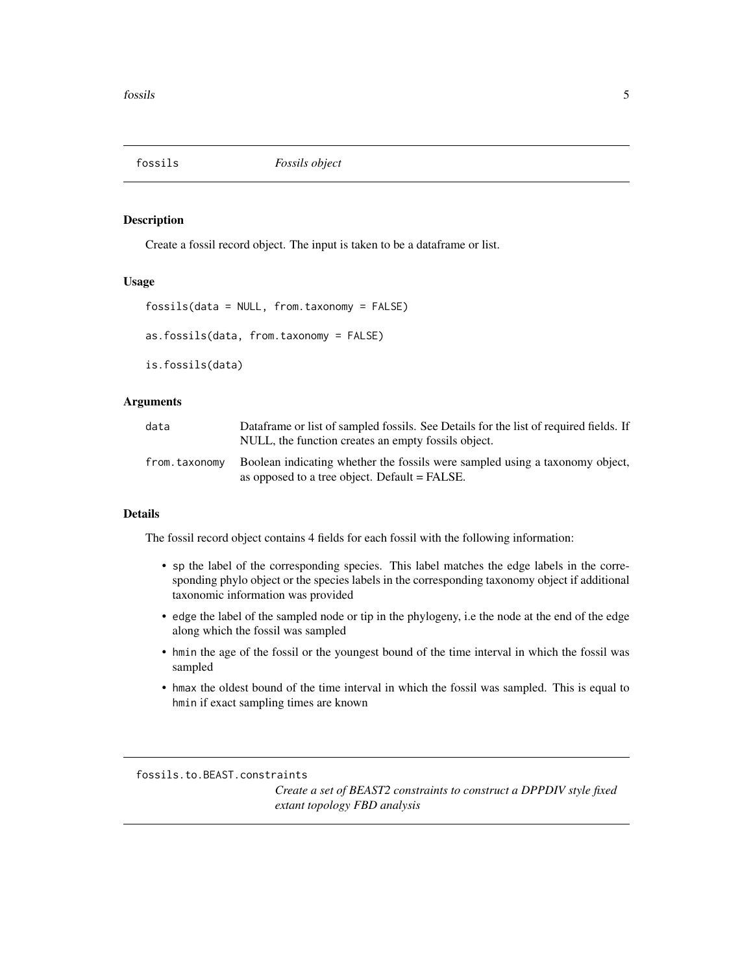<span id="page-4-1"></span><span id="page-4-0"></span>

Create a fossil record object. The input is taken to be a dataframe or list.

#### Usage

```
fossils(data = NULL, from.taxonomy = FALSE)
as.fossils(data, from.taxonomy = FALSE)
```
is.fossils(data)

#### Arguments

| data          | Dataframe or list of sampled fossils. See Details for the list of required fields. If<br>NULL, the function creates an empty fossils object. |
|---------------|----------------------------------------------------------------------------------------------------------------------------------------------|
| from.taxonomv | Boolean indicating whether the fossils were sampled using a taxonomy object,<br>as opposed to a tree object. Default = FALSE.                |

# Details

The fossil record object contains 4 fields for each fossil with the following information:

- sp the label of the corresponding species. This label matches the edge labels in the corresponding phylo object or the species labels in the corresponding taxonomy object if additional taxonomic information was provided
- edge the label of the sampled node or tip in the phylogeny, i.e the node at the end of the edge along which the fossil was sampled
- hmin the age of the fossil or the youngest bound of the time interval in which the fossil was sampled
- hmax the oldest bound of the time interval in which the fossil was sampled. This is equal to hmin if exact sampling times are known

fossils.to.BEAST.constraints

*Create a set of BEAST2 constraints to construct a DPPDIV style fixed extant topology FBD analysis*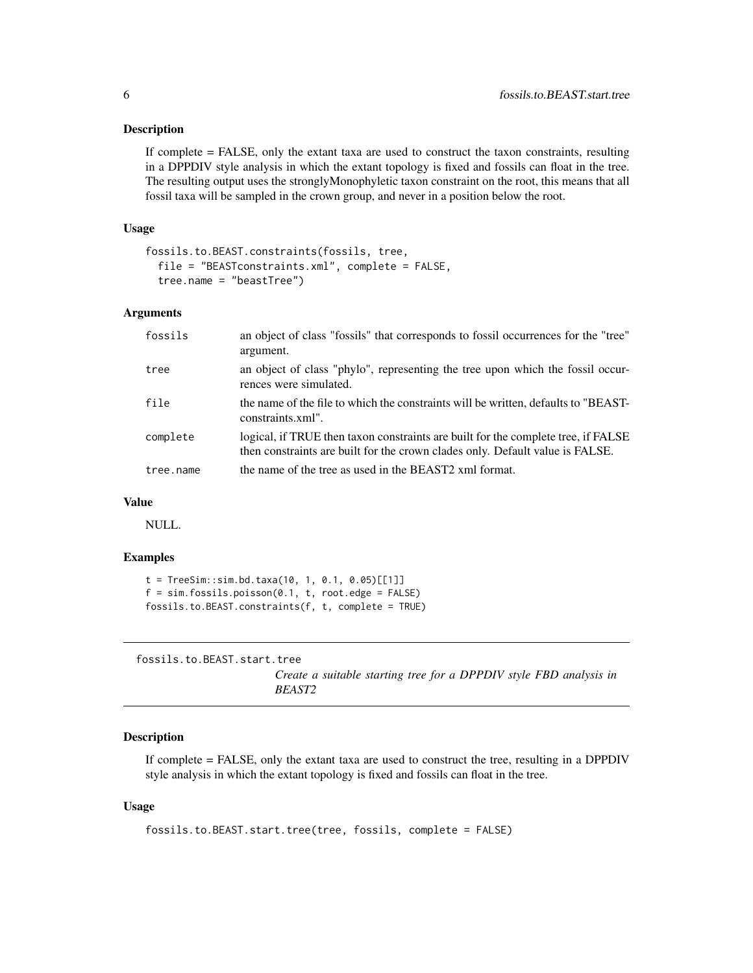<span id="page-5-0"></span>If complete = FALSE, only the extant taxa are used to construct the taxon constraints, resulting in a DPPDIV style analysis in which the extant topology is fixed and fossils can float in the tree. The resulting output uses the stronglyMonophyletic taxon constraint on the root, this means that all fossil taxa will be sampled in the crown group, and never in a position below the root.

#### Usage

```
fossils.to.BEAST.constraints(fossils, tree,
  file = "BEASTconstraints.xml", complete = FALSE,
 tree.name = "beastTree")
```
#### Arguments

| fossils   | an object of class "fossils" that corresponds to fossil occurrences for the "tree"<br>argument.                                                                    |
|-----------|--------------------------------------------------------------------------------------------------------------------------------------------------------------------|
| tree      | an object of class "phylo", representing the tree upon which the fossil occur-<br>rences were simulated.                                                           |
| file      | the name of the file to which the constraints will be written, defaults to "BEAST-<br>constraints.xml".                                                            |
| complete  | logical, if TRUE then taxon constraints are built for the complete tree, if FALSE<br>then constraints are built for the crown clades only. Default value is FALSE. |
| tree.name | the name of the tree as used in the BEAST2 xml format.                                                                                                             |

#### Value

NULL.

#### Examples

```
t = TreeSim::sim.bd.taxa(10, 1, 0.1, 0.05)[[1]]f = sim.fossils.poisson(0.1, t, root. edge = FALSE)fossils.to.BEAST.constraints(f, t, complete = TRUE)
```
fossils.to.BEAST.start.tree

*Create a suitable starting tree for a DPPDIV style FBD analysis in BEAST2*

#### Description

If complete = FALSE, only the extant taxa are used to construct the tree, resulting in a DPPDIV style analysis in which the extant topology is fixed and fossils can float in the tree.

#### Usage

```
fossils.to.BEAST.start.tree(tree, fossils, complete = FALSE)
```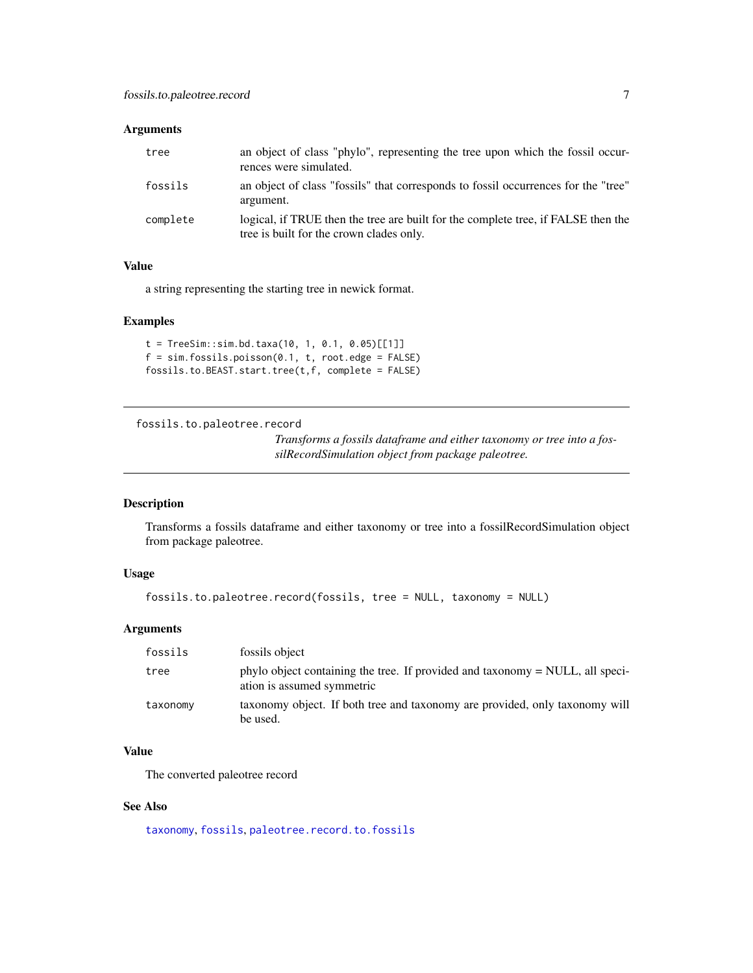#### <span id="page-6-0"></span>Arguments

| tree     | an object of class "phylo", representing the tree upon which the fossil occur-<br>rences were simulated.                      |
|----------|-------------------------------------------------------------------------------------------------------------------------------|
| fossils  | an object of class "fossils" that corresponds to fossil occurrences for the "tree"<br>argument.                               |
| complete | logical, if TRUE then the tree are built for the complete tree, if FALSE then the<br>tree is built for the crown clades only. |

#### Value

a string representing the starting tree in newick format.

#### Examples

```
t = TreeSim::sim.bd.taxa(10, 1, 0.1, 0.05)[[1]]
f = sim.fossils.poisson(0.1, t, root. edge = FALSE)fossils.to.BEAST.start.tree(t,f, complete = FALSE)
```
<span id="page-6-1"></span>fossils.to.paleotree.record

*Transforms a fossils dataframe and either taxonomy or tree into a fossilRecordSimulation object from package paleotree.*

# Description

Transforms a fossils dataframe and either taxonomy or tree into a fossilRecordSimulation object from package paleotree.

#### Usage

```
fossils.to.paleotree.record(fossils, tree = NULL, taxonomy = NULL)
```
# Arguments

| fossils  | fossils object                                                                                              |
|----------|-------------------------------------------------------------------------------------------------------------|
| tree     | phylo object containing the tree. If provided and taxonomy = NULL, all speci-<br>ation is assumed symmetric |
| taxonomy | taxonomy object. If both tree and taxonomy are provided, only taxonomy will<br>be used.                     |

# Value

The converted paleotree record

# See Also

[taxonomy](#page-42-1), [fossils](#page-4-1), [paleotree.record.to.fossils](#page-10-1)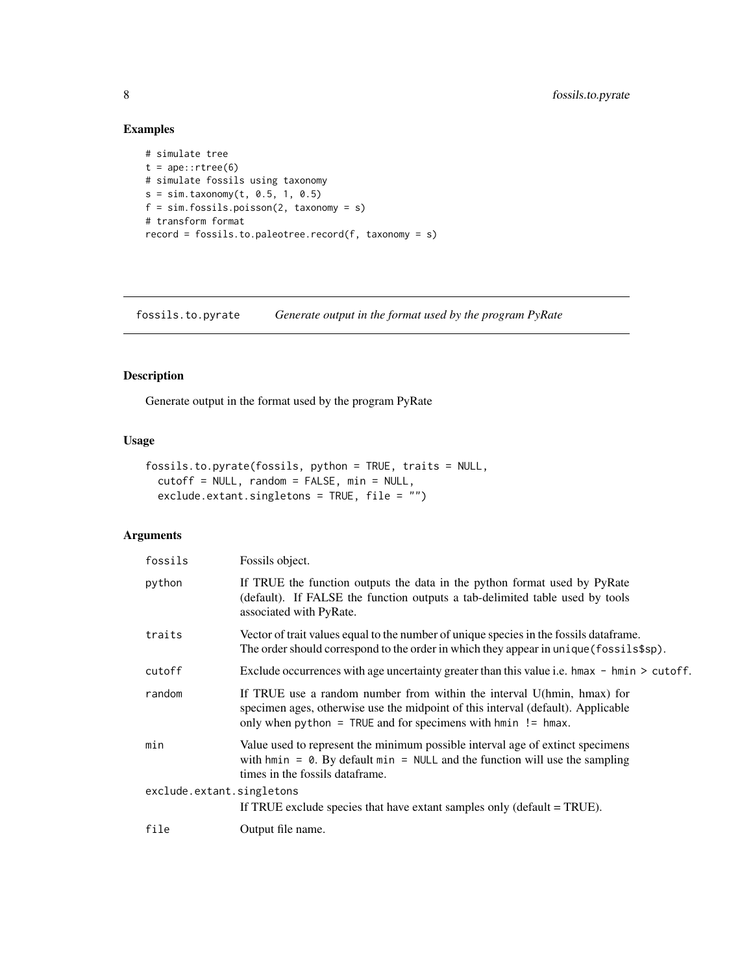# Examples

```
# simulate tree
t = ape::rtree(6)# simulate fossils using taxonomy
s = sim.taxonomy(t, 0.5, 1, 0.5)
f = sim.fossils.poisson(2, taxonomy = s)# transform format
record = fossils.to.paleotree.record(f, taxonomy = s)
```
fossils.to.pyrate *Generate output in the format used by the program PyRate*

# Description

Generate output in the format used by the program PyRate

# Usage

```
fossils.to.pyrate(fossils, python = TRUE, traits = NULL,
 cutoff = NULL, random = FALSE, min = NULL,
 exclude.extant.singletons = TRUE, file = "")
```

| fossils                   | Fossils object.                                                                                                                                                                                                              |
|---------------------------|------------------------------------------------------------------------------------------------------------------------------------------------------------------------------------------------------------------------------|
| python                    | If TRUE the function outputs the data in the python format used by PyRate<br>(default). If FALSE the function outputs a tab-delimited table used by tools<br>associated with PyRate.                                         |
| traits                    | Vector of trait values equal to the number of unique species in the fossils dataframe.<br>The order should correspond to the order in which they appear in unique (fossils\$sp).                                             |
| cutoff                    | Exclude occurrences with age uncertainty greater than this value i.e. hmax $-$ hmin $\geq$ cutoff.                                                                                                                           |
| random                    | If TRUE use a random number from within the interval U(hmin, hmax) for<br>specimen ages, otherwise use the midpoint of this interval (default). Applicable<br>only when python = TRUE and for specimens with $hmin$ != hmax. |
| min                       | Value used to represent the minimum possible interval age of extinct specimens<br>with hmin = $\theta$ . By default min = NULL and the function will use the sampling<br>times in the fossils dataframe.                     |
| exclude.extant.singletons | If TRUE exclude species that have extant samples only (default $=$ TRUE).                                                                                                                                                    |
| file                      | Output file name.                                                                                                                                                                                                            |
|                           |                                                                                                                                                                                                                              |

<span id="page-7-0"></span>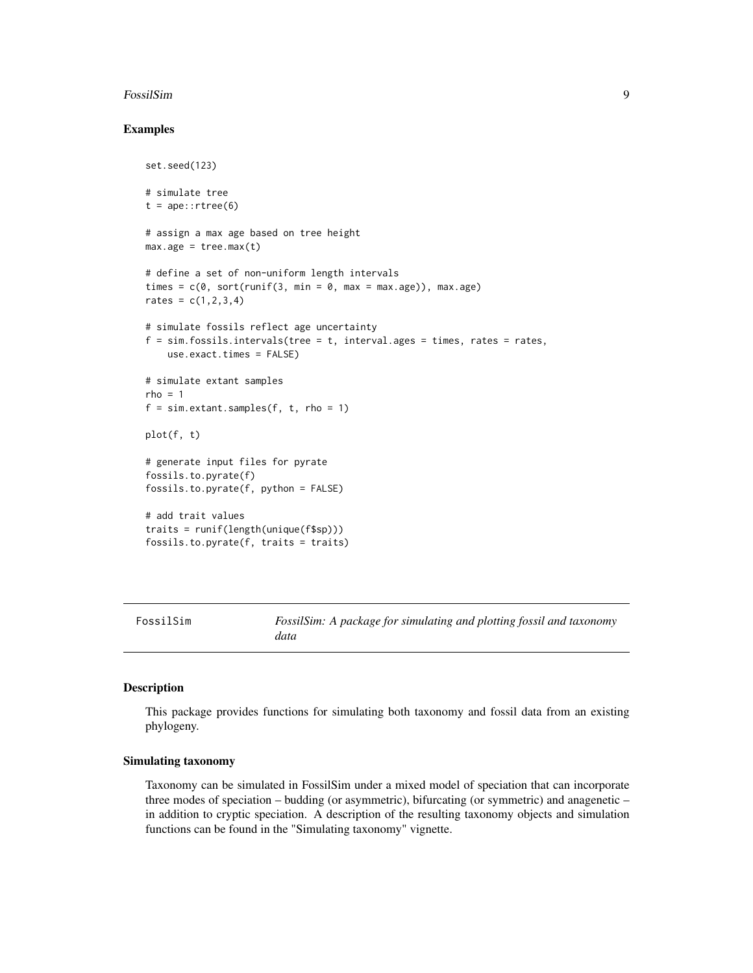#### <span id="page-8-0"></span>FossilSim 9

#### Examples

```
set.seed(123)
# simulate tree
t = ape::rtree(6)# assign a max age based on tree height
max.age = tree.max(t)# define a set of non-uniform length intervals
times = c(0, sort(runif(3, min = 0, max = max.age)), max.age)rates = c(1, 2, 3, 4)# simulate fossils reflect age uncertainty
f = \sin f \cdot \cos i \cdot \sin t intervals (tree = t, interval.ages = times, rates = rates,
    use.exact.times = FALSE)
# simulate extant samples
rho = 1f = sim.extant.samples(f, t, rho = 1)
plot(f, t)
# generate input files for pyrate
fossils.to.pyrate(f)
fossils.to.pyrate(f, python = FALSE)
# add trait values
traits = runif(length(unique(f$sp)))
fossils.to.pyrate(f, traits = traits)
```
FossilSim *FossilSim: A package for simulating and plotting fossil and taxonomy data*

# Description

This package provides functions for simulating both taxonomy and fossil data from an existing phylogeny.

#### Simulating taxonomy

Taxonomy can be simulated in FossilSim under a mixed model of speciation that can incorporate three modes of speciation – budding (or asymmetric), bifurcating (or symmetric) and anagenetic – in addition to cryptic speciation. A description of the resulting taxonomy objects and simulation functions can be found in the "Simulating taxonomy" vignette.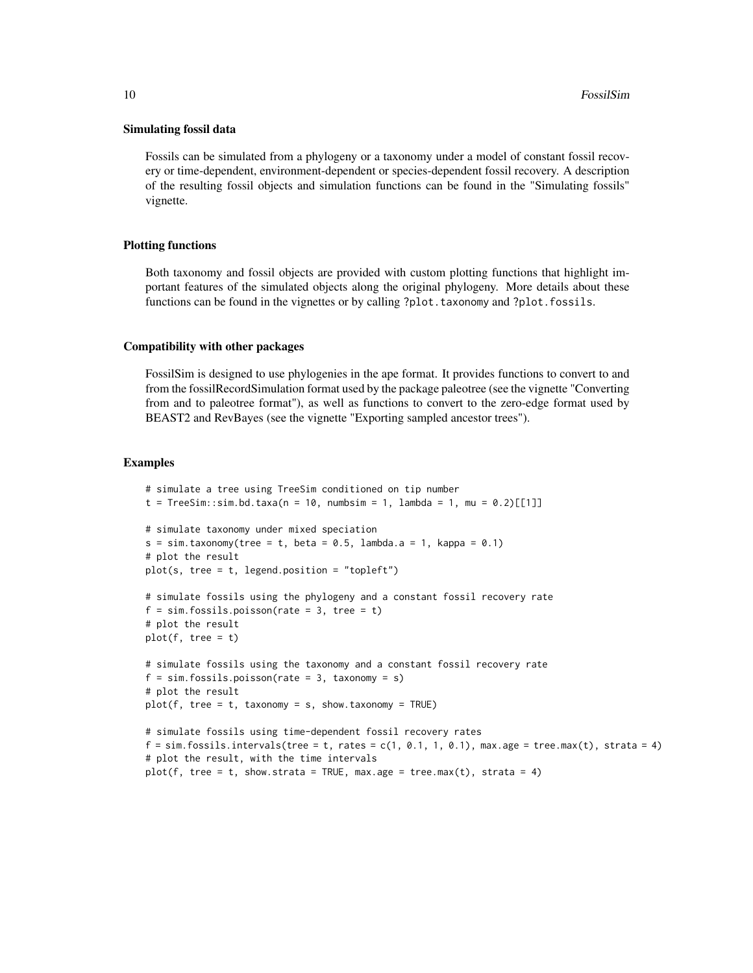#### Simulating fossil data

Fossils can be simulated from a phylogeny or a taxonomy under a model of constant fossil recovery or time-dependent, environment-dependent or species-dependent fossil recovery. A description of the resulting fossil objects and simulation functions can be found in the "Simulating fossils" vignette.

#### Plotting functions

Both taxonomy and fossil objects are provided with custom plotting functions that highlight important features of the simulated objects along the original phylogeny. More details about these functions can be found in the vignettes or by calling ?plot.taxonomy and ?plot.fossils.

#### Compatibility with other packages

FossilSim is designed to use phylogenies in the ape format. It provides functions to convert to and from the fossilRecordSimulation format used by the package paleotree (see the vignette "Converting from and to paleotree format"), as well as functions to convert to the zero-edge format used by BEAST2 and RevBayes (see the vignette "Exporting sampled ancestor trees").

#### Examples

```
# simulate a tree using TreeSim conditioned on tip number
t = TreeSim::sim.bd.taxa(n = 10, numbsim = 1, lambda = 1, mu = 0.2)[[1]]# simulate taxonomy under mixed speciation
s = sim.taxonomy(tree = t, beta = 0.5, lambda.a = 1, kappa = 0.1)# plot the result
plot(s, tree = t, legend.position = "topleft")
# simulate fossils using the phylogeny and a constant fossil recovery rate
f = sim.fossils.poisson(rate = 3, tree = t)# plot the result
plot(f, tree = t)# simulate fossils using the taxonomy and a constant fossil recovery rate
f = sim.fossils.poisson(rate = 3, taxonomy = s)# plot the result
plot(f, tree = t, taxonomy = s, show.taxonomy = TRUE)# simulate fossils using time-dependent fossil recovery rates
f = \sin f fossils.intervals(tree = t, rates = c(1, 0.1, 1, 0.1), max.age = tree.max(t), strata = 4)
# plot the result, with the time intervals
plot(f, tree = t, show.strata = TRUE, max.age = tree.max(t), strata = 4)
```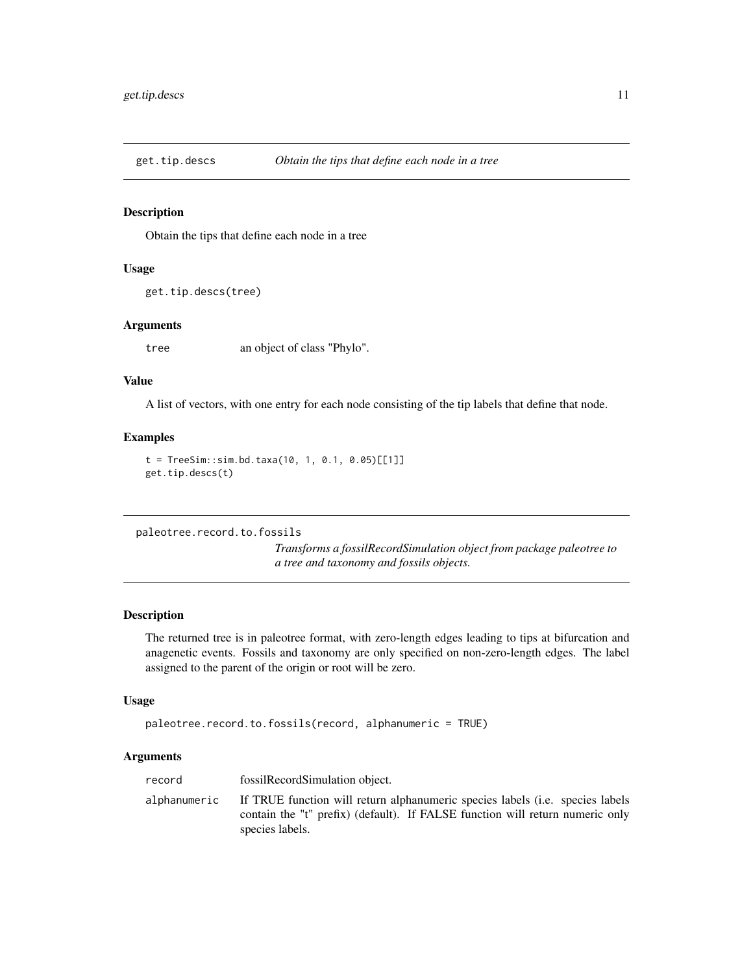<span id="page-10-0"></span>

Obtain the tips that define each node in a tree

#### Usage

```
get.tip.descs(tree)
```
# Arguments

tree an object of class "Phylo".

#### Value

A list of vectors, with one entry for each node consisting of the tip labels that define that node.

#### Examples

```
t = TreeSim::sim.bd.taxa(10, 1, 0.1, 0.05)[[1]]get.tip.descs(t)
```
<span id="page-10-1"></span>paleotree.record.to.fossils

*Transforms a fossilRecordSimulation object from package paleotree to a tree and taxonomy and fossils objects.*

#### Description

The returned tree is in paleotree format, with zero-length edges leading to tips at bifurcation and anagenetic events. Fossils and taxonomy are only specified on non-zero-length edges. The label assigned to the parent of the origin or root will be zero.

#### Usage

```
paleotree.record.to.fossils(record, alphanumeric = TRUE)
```

| alphanumeric if TRUE function will return alphanumeric species labels (i.e. species labels | record | fossilRecordSimulation object.                                                                   |
|--------------------------------------------------------------------------------------------|--------|--------------------------------------------------------------------------------------------------|
|                                                                                            |        | contain the "t" prefix) (default). If FALSE function will return numeric only<br>species labels. |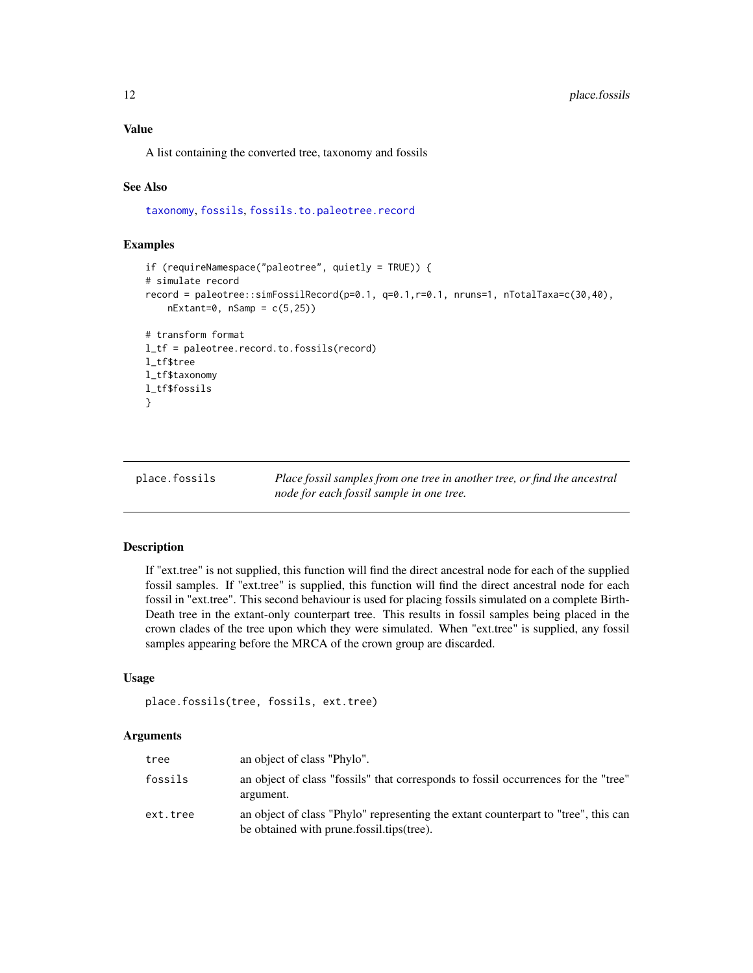# <span id="page-11-0"></span>Value

A list containing the converted tree, taxonomy and fossils

# See Also

[taxonomy](#page-42-1), [fossils](#page-4-1), [fossils.to.paleotree.record](#page-6-1)

# Examples

```
if (requireNamespace("paleotree", quietly = TRUE)) {
# simulate record
record = paleotree::simFossilRecord(p=0.1, q=0.1,r=0.1, nruns=1, nTotalTaxa=c(30,40),
    nExtant=0, nSamp = c(5,25)# transform format
l_tf = paleotree.record.to.fossils(record)
l_tf$tree
l_tf$taxonomy
l_tf$fossils
}
```
place.fossils *Place fossil samples from one tree in another tree, or find the ancestral node for each fossil sample in one tree.*

#### Description

If "ext.tree" is not supplied, this function will find the direct ancestral node for each of the supplied fossil samples. If "ext.tree" is supplied, this function will find the direct ancestral node for each fossil in "ext.tree". This second behaviour is used for placing fossils simulated on a complete Birth-Death tree in the extant-only counterpart tree. This results in fossil samples being placed in the crown clades of the tree upon which they were simulated. When "ext.tree" is supplied, any fossil samples appearing before the MRCA of the crown group are discarded.

#### Usage

```
place.fossils(tree, fossils, ext.tree)
```

| tree     | an object of class "Phylo".                                                                                                      |
|----------|----------------------------------------------------------------------------------------------------------------------------------|
| fossils  | an object of class "fossils" that corresponds to fossil occurrences for the "tree"<br>argument.                                  |
| ext.tree | an object of class "Phylo" representing the extant counterpart to "tree", this can<br>be obtained with prune fossilitips (tree). |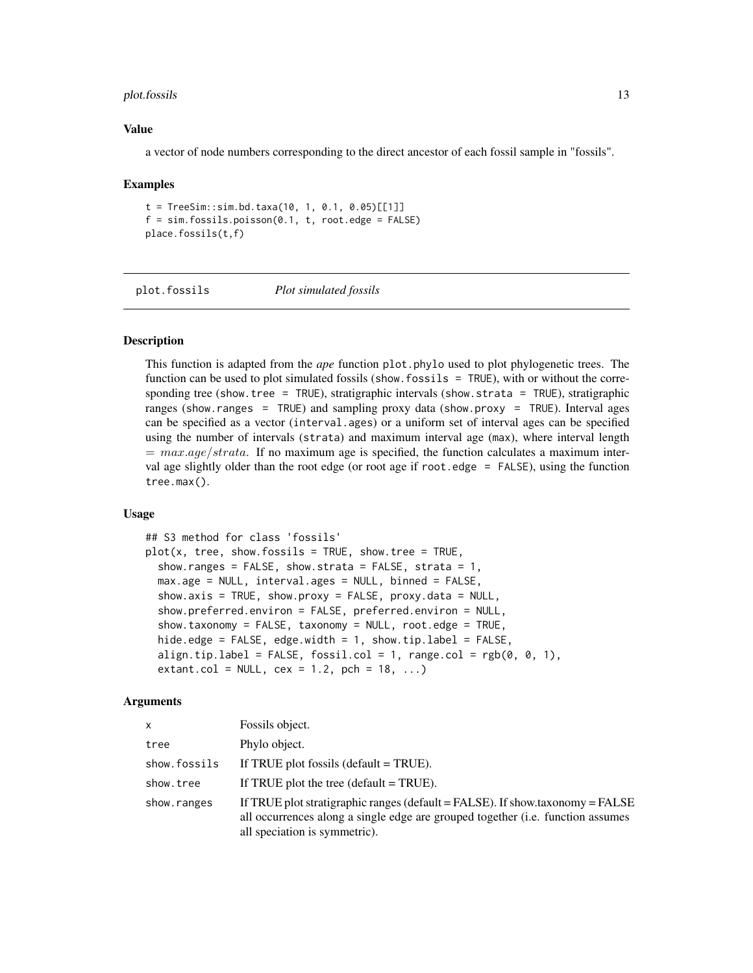#### <span id="page-12-0"></span>plot.fossils **13**

#### Value

a vector of node numbers corresponding to the direct ancestor of each fossil sample in "fossils".

#### Examples

```
t = TreeSim::sim.bd.taxa(10, 1, 0.1, 0.05)[[1]]f = sim.fossils.poisson(0.1, t, root. edge = FALSE)place.fossils(t,f)
```
plot.fossils *Plot simulated fossils*

#### **Description**

This function is adapted from the *ape* function plot.phylo used to plot phylogenetic trees. The function can be used to plot simulated fossils (show.fossils = TRUE), with or without the corresponding tree (show.tree = TRUE), stratigraphic intervals (show.strata = TRUE), stratigraphic ranges (show.ranges = TRUE) and sampling proxy data (show.proxy = TRUE). Interval ages can be specified as a vector (interval.ages) or a uniform set of interval ages can be specified using the number of intervals (strata) and maximum interval age (max), where interval length  $= max. age/strata$ . If no maximum age is specified, the function calculates a maximum interval age slightly older than the root edge (or root age if root.edge = FALSE), using the function tree.max().

# Usage

```
## S3 method for class 'fossils'
plot(x, tree, show.fossils = TRUE, show.tree = TRUE,show.ranges = FALSE, show.strata = FALSE, strata = 1,max.age = NULL, interval.ages = NULL, binned = FALSE,
  show.axis = TRUE, show.proxy = FALSE, proxy.data = NULL,
  show.preferred.environ = FALSE, preferred.environ = NULL,
  show.taxonomy = FALSE, taxonomy = NULL, root.edge = TRUE,
  hide.edge = FALSE, edge.width = 1, show.tip.label = FALSE,
  align.tip.label = FALSE, fossil.col = 1, range.col = rgb(0, 0, 1),
  extant.col = NULL, cex = 1.2, pch = 18, ...
```

| x            | Fossils object.                                                                                                                                                                                   |
|--------------|---------------------------------------------------------------------------------------------------------------------------------------------------------------------------------------------------|
| tree         | Phylo object.                                                                                                                                                                                     |
| show.fossils | If TRUE plot fossils (default $=$ TRUE).                                                                                                                                                          |
| show.tree    | If TRUE plot the tree (default $=$ TRUE).                                                                                                                                                         |
| show.ranges  | If TRUE plot stratigraphic ranges (default = FALSE). If show taxonomy = FALSE<br>all occurrences along a single edge are grouped together (i.e. function assumes<br>all speciation is symmetric). |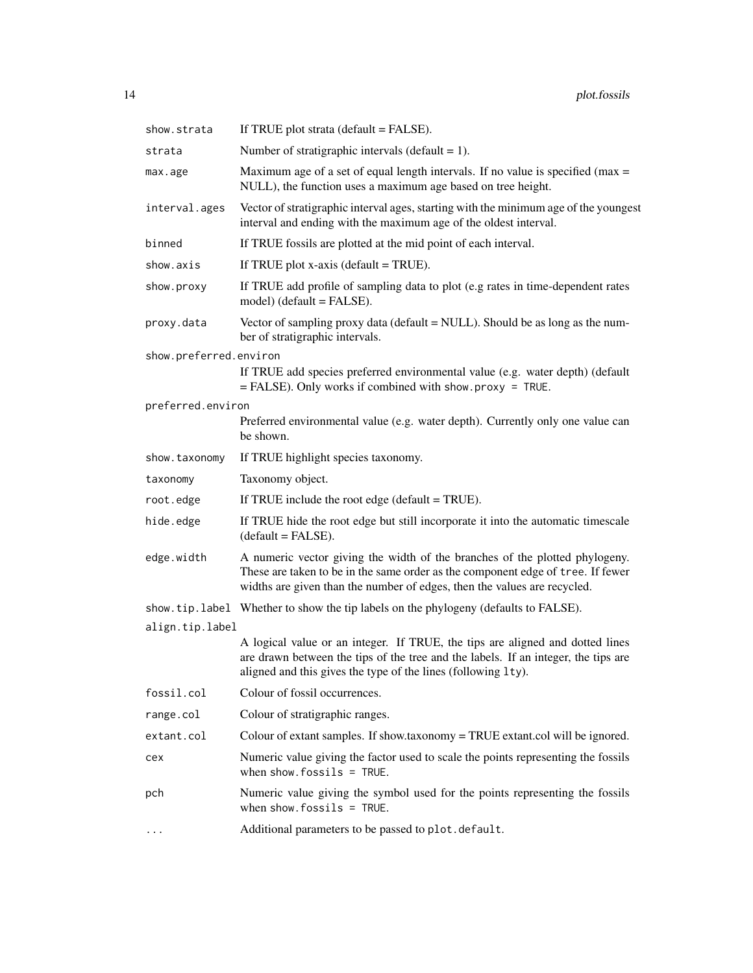| show.strata            | If TRUE plot strata (default = FALSE).                                                                                                                                                                                                     |  |
|------------------------|--------------------------------------------------------------------------------------------------------------------------------------------------------------------------------------------------------------------------------------------|--|
| strata                 | Number of stratigraphic intervals (default = $1$ ).                                                                                                                                                                                        |  |
| max.age                | Maximum age of a set of equal length intervals. If no value is specified ( $max =$<br>NULL), the function uses a maximum age based on tree height.                                                                                         |  |
| interval.ages          | Vector of stratigraphic interval ages, starting with the minimum age of the youngest<br>interval and ending with the maximum age of the oldest interval.                                                                                   |  |
| binned                 | If TRUE fossils are plotted at the mid point of each interval.                                                                                                                                                                             |  |
| show.axis              | If TRUE plot $x$ -axis (default = TRUE).                                                                                                                                                                                                   |  |
| show.proxy             | If TRUE add profile of sampling data to plot (e.g rates in time-dependent rates<br>$model)$ (default = FALSE).                                                                                                                             |  |
| proxy.data             | Vector of sampling proxy data (default = NULL). Should be as long as the num-<br>ber of stratigraphic intervals.                                                                                                                           |  |
| show.preferred.environ | If TRUE add species preferred environmental value (e.g. water depth) (default<br>$=$ FALSE). Only works if combined with show proxy = TRUE.                                                                                                |  |
| preferred.environ      | Preferred environmental value (e.g. water depth). Currently only one value can<br>be shown.                                                                                                                                                |  |
| show.taxonomy          | If TRUE highlight species taxonomy.                                                                                                                                                                                                        |  |
| taxonomy               | Taxonomy object.                                                                                                                                                                                                                           |  |
| root.edge              | If TRUE include the root edge (default $=$ TRUE).                                                                                                                                                                                          |  |
| hide.edge              | If TRUE hide the root edge but still incorporate it into the automatic timescale<br>$(default = FALSE).$                                                                                                                                   |  |
| edge.width             | A numeric vector giving the width of the branches of the plotted phylogeny.<br>These are taken to be in the same order as the component edge of tree. If fewer<br>widths are given than the number of edges, then the values are recycled. |  |
|                        | show.tip.label Whether to show the tip labels on the phylogeny (defaults to FALSE).                                                                                                                                                        |  |
| align.tip.label        |                                                                                                                                                                                                                                            |  |
|                        | A logical value or an integer. If TRUE, the tips are aligned and dotted lines<br>are drawn between the tips of the tree and the labels. If an integer, the tips are<br>aligned and this gives the type of the lines (following 1ty).       |  |
| fossil.col             | Colour of fossil occurrences.                                                                                                                                                                                                              |  |
| range.col              | Colour of stratigraphic ranges.                                                                                                                                                                                                            |  |
| extant.col             | Colour of extant samples. If show taxonomy = TRUE extant col will be ignored.                                                                                                                                                              |  |
| cex                    | Numeric value giving the factor used to scale the points representing the fossils<br>when show. $fossils = TRUE$ .                                                                                                                         |  |
| pch                    | Numeric value giving the symbol used for the points representing the fossils<br>when show. $f$ ossils = TRUE.                                                                                                                              |  |
| $\cdots$               | Additional parameters to be passed to plot.default.                                                                                                                                                                                        |  |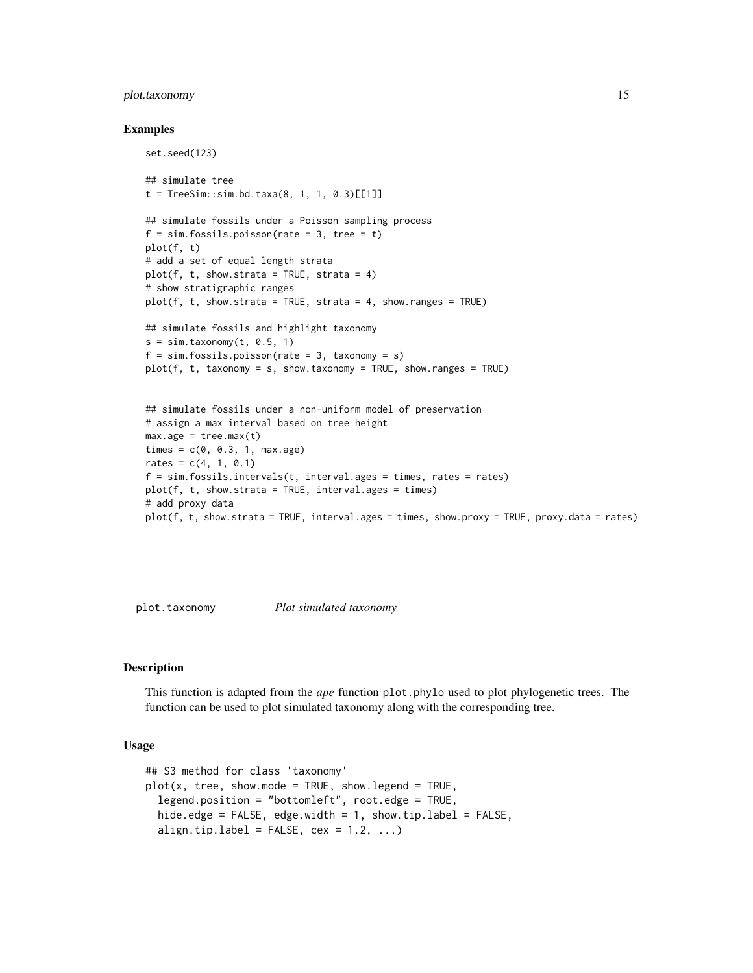#### <span id="page-14-0"></span>plot.taxonomy 15

#### Examples

```
set.seed(123)
## simulate tree
t = TreeSim::sim.bd.taxa(8, 1, 1, 0.3)[[1]]## simulate fossils under a Poisson sampling process
f = sim.fossils.poisson(rate = 3, tree = t)plot(f, t)
# add a set of equal length strata
plot(f, t, show. strata = TRUE, strata = 4)# show stratigraphic ranges
plot(f, t, show. strata = TRUE, strata = 4, show. ranges = TRUE)## simulate fossils and highlight taxonomy
s = sim.taxonomy(t, 0.5, 1)f = sim.fossils.poisson(rate = 3, taxonomy = s)plot(f, t, taxonomy = s, show.taxonomy = TRUE, show.ranges = TRUE)
## simulate fossils under a non-uniform model of preservation
# assign a max interval based on tree height
max.age = tree.max(t)times = c(0, 0.3, 1, max.age)rates = c(4, 1, 0.1)f = \sin f \cdot \cos i \cdot l \cdot \sin \cos \left( t \right), interval.ages = times, rates = rates)
plot(f, t, show. strata = TRUE, interval. ages = times)# add proxy data
plot(f, t, show.strata = TRUE, interval.ages = times, show.proxy = TRUE, proxy.data = rates)
```
plot.taxonomy *Plot simulated taxonomy*

#### Description

This function is adapted from the *ape* function plot.phylo used to plot phylogenetic trees. The function can be used to plot simulated taxonomy along with the corresponding tree.

#### Usage

```
## S3 method for class 'taxonomy'
plot(x, tree, show mode = TRUE, show.length = TRUE,legend. position = "bottomleft", root. edge = TRUE,hide.edge = FALSE, edge.width = 1, show.tip.label = FALSE,
  align.tip.label = FALSE, cex = 1.2, ...
```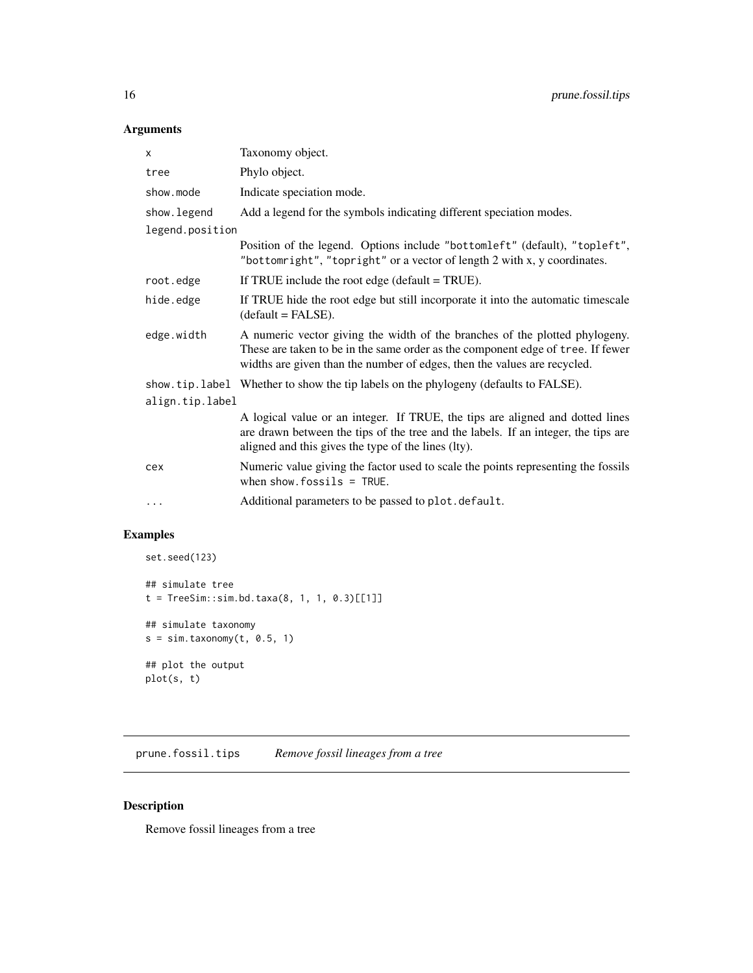# <span id="page-15-0"></span>Arguments

| Phylo object.<br>tree<br>show.mode<br>Indicate speciation mode.<br>Add a legend for the symbols indicating different speciation modes.<br>show.legend<br>legend.position<br>Position of the legend. Options include "bottomleft" (default), "topleft",<br>"bottomright", "topright" or a vector of length 2 with x, y coordinates.<br>root.edge<br>If TRUE include the root edge (default $=$ TRUE).<br>If TRUE hide the root edge but still incorporate it into the automatic timescale<br>hide.edge<br>$(detault = FALSE).$<br>edge.width<br>A numeric vector giving the width of the branches of the plotted phylogeny.<br>These are taken to be in the same order as the component edge of tree. If fewer<br>widths are given than the number of edges, then the values are recycled.<br>show.tip.label Whether to show the tip labels on the phylogeny (defaults to FALSE).<br>align.tip.label<br>A logical value or an integer. If TRUE, the tips are aligned and dotted lines<br>are drawn between the tips of the tree and the labels. If an integer, the tips are<br>aligned and this gives the type of the lines (lty).<br>cex<br>when show. $f$ ossils = TRUE.<br>Additional parameters to be passed to plot. default.<br>$\cdots$ | x | Taxonomy object.                                                                  |
|-----------------------------------------------------------------------------------------------------------------------------------------------------------------------------------------------------------------------------------------------------------------------------------------------------------------------------------------------------------------------------------------------------------------------------------------------------------------------------------------------------------------------------------------------------------------------------------------------------------------------------------------------------------------------------------------------------------------------------------------------------------------------------------------------------------------------------------------------------------------------------------------------------------------------------------------------------------------------------------------------------------------------------------------------------------------------------------------------------------------------------------------------------------------------------------------------------------------------------------------------|---|-----------------------------------------------------------------------------------|
|                                                                                                                                                                                                                                                                                                                                                                                                                                                                                                                                                                                                                                                                                                                                                                                                                                                                                                                                                                                                                                                                                                                                                                                                                                               |   |                                                                                   |
|                                                                                                                                                                                                                                                                                                                                                                                                                                                                                                                                                                                                                                                                                                                                                                                                                                                                                                                                                                                                                                                                                                                                                                                                                                               |   |                                                                                   |
|                                                                                                                                                                                                                                                                                                                                                                                                                                                                                                                                                                                                                                                                                                                                                                                                                                                                                                                                                                                                                                                                                                                                                                                                                                               |   |                                                                                   |
|                                                                                                                                                                                                                                                                                                                                                                                                                                                                                                                                                                                                                                                                                                                                                                                                                                                                                                                                                                                                                                                                                                                                                                                                                                               |   |                                                                                   |
|                                                                                                                                                                                                                                                                                                                                                                                                                                                                                                                                                                                                                                                                                                                                                                                                                                                                                                                                                                                                                                                                                                                                                                                                                                               |   |                                                                                   |
|                                                                                                                                                                                                                                                                                                                                                                                                                                                                                                                                                                                                                                                                                                                                                                                                                                                                                                                                                                                                                                                                                                                                                                                                                                               |   |                                                                                   |
|                                                                                                                                                                                                                                                                                                                                                                                                                                                                                                                                                                                                                                                                                                                                                                                                                                                                                                                                                                                                                                                                                                                                                                                                                                               |   |                                                                                   |
|                                                                                                                                                                                                                                                                                                                                                                                                                                                                                                                                                                                                                                                                                                                                                                                                                                                                                                                                                                                                                                                                                                                                                                                                                                               |   |                                                                                   |
|                                                                                                                                                                                                                                                                                                                                                                                                                                                                                                                                                                                                                                                                                                                                                                                                                                                                                                                                                                                                                                                                                                                                                                                                                                               |   |                                                                                   |
|                                                                                                                                                                                                                                                                                                                                                                                                                                                                                                                                                                                                                                                                                                                                                                                                                                                                                                                                                                                                                                                                                                                                                                                                                                               |   |                                                                                   |
|                                                                                                                                                                                                                                                                                                                                                                                                                                                                                                                                                                                                                                                                                                                                                                                                                                                                                                                                                                                                                                                                                                                                                                                                                                               |   |                                                                                   |
|                                                                                                                                                                                                                                                                                                                                                                                                                                                                                                                                                                                                                                                                                                                                                                                                                                                                                                                                                                                                                                                                                                                                                                                                                                               |   | Numeric value giving the factor used to scale the points representing the fossils |
|                                                                                                                                                                                                                                                                                                                                                                                                                                                                                                                                                                                                                                                                                                                                                                                                                                                                                                                                                                                                                                                                                                                                                                                                                                               |   |                                                                                   |

# Examples

```
set.seed(123)
## simulate tree
t = TreeSim::sim.bd.taxa(8, 1, 1, 0.3)[[1]]
## simulate taxonomy
s = sim.taxonomy(t, 0.5, 1)## plot the output
plot(s, t)
```
prune.fossil.tips *Remove fossil lineages from a tree*

# Description

Remove fossil lineages from a tree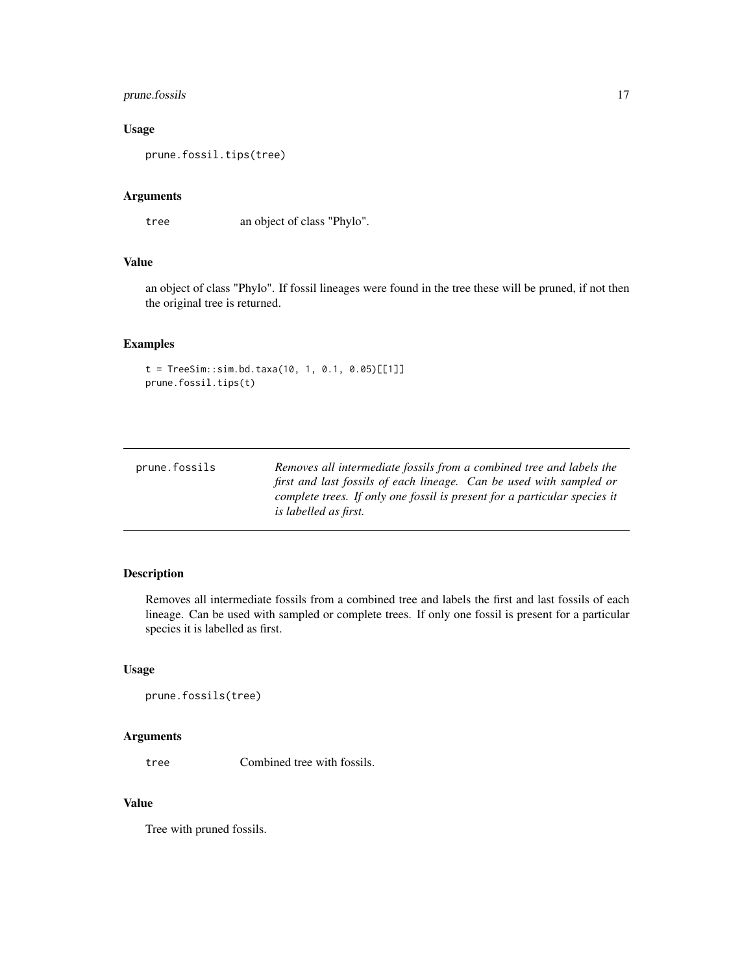# <span id="page-16-0"></span>prune.fossils 17

# Usage

prune.fossil.tips(tree)

# Arguments

tree an object of class "Phylo".

#### Value

an object of class "Phylo". If fossil lineages were found in the tree these will be pruned, if not then the original tree is returned.

# Examples

```
t = TreeSim::sim.bd.taxa(10, 1, 0.1, 0.05)[[1]]prune.fossil.tips(t)
```

| prune.fossils | Removes all intermediate fossils from a combined tree and labels the      |
|---------------|---------------------------------------------------------------------------|
|               | first and last fossils of each lineage. Can be used with sampled or       |
|               | complete trees. If only one fossil is present for a particular species it |
|               | <i>is labelled as first.</i>                                              |

# Description

Removes all intermediate fossils from a combined tree and labels the first and last fossils of each lineage. Can be used with sampled or complete trees. If only one fossil is present for a particular species it is labelled as first.

#### Usage

```
prune.fossils(tree)
```
#### Arguments

tree Combined tree with fossils.

# Value

Tree with pruned fossils.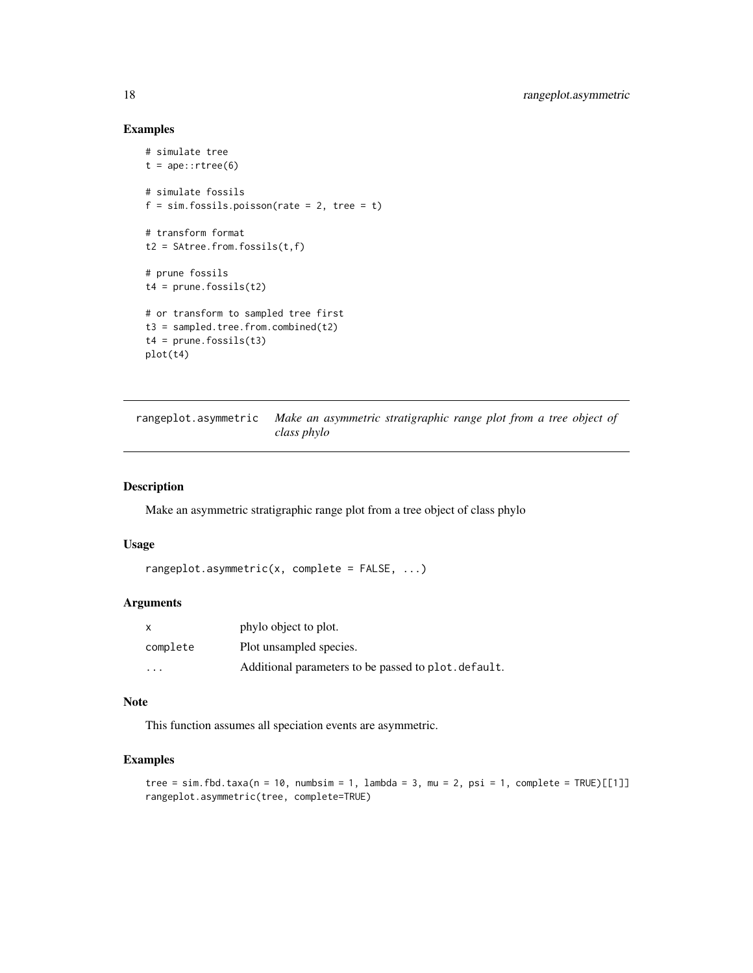# Examples

```
# simulate tree
t = ape::rtree(6)# simulate fossils
f = sim.fossils.poisson(rate = 2, tree = t)# transform format
t2 = SAtree.from.fossils(t, f)
# prune fossils
t4 = prime.fossils(t2)# or transform to sampled tree first
t3 = sampled.tree.from.combined(t2)t4 = prune.fossils(t3)plot(t4)
```
rangeplot.asymmetric *Make an asymmetric stratigraphic range plot from a tree object of class phylo*

# Description

Make an asymmetric stratigraphic range plot from a tree object of class phylo

#### Usage

```
rangeplot.asymmetric(x, complete = FALSE, ...)
```
#### Arguments

|          | phylo object to plot.                                |
|----------|------------------------------------------------------|
| complete | Plot unsampled species.                              |
| $\cdot$  | Additional parameters to be passed to plot. default. |

#### Note

This function assumes all speciation events are asymmetric.

# Examples

```
tree = sim.fbd.taxa(n = 10, numbsim = 1, lambda = 3, mu = 2, psi = 1, complete = TRUE)[[1]]
rangeplot.asymmetric(tree, complete=TRUE)
```
<span id="page-17-0"></span>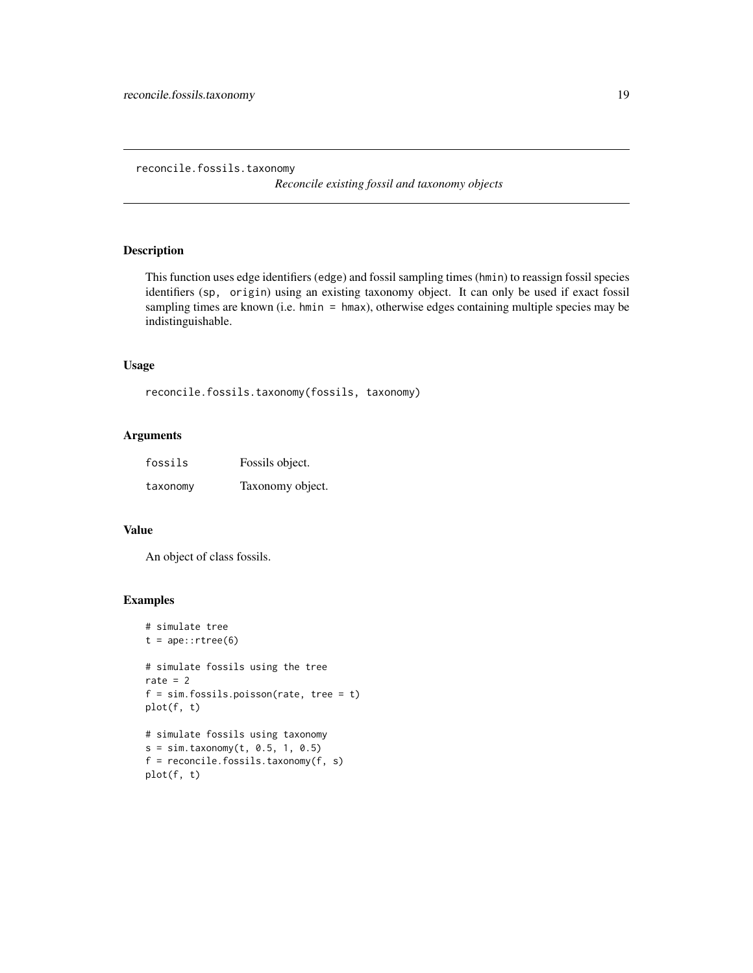<span id="page-18-0"></span>reconcile.fossils.taxonomy

*Reconcile existing fossil and taxonomy objects*

#### Description

This function uses edge identifiers (edge) and fossil sampling times (hmin) to reassign fossil species identifiers (sp, origin) using an existing taxonomy object. It can only be used if exact fossil sampling times are known (i.e. hmin = hmax), otherwise edges containing multiple species may be indistinguishable.

# Usage

```
reconcile.fossils.taxonomy(fossils, taxonomy)
```
# Arguments

| fossils  | Fossils object.  |
|----------|------------------|
| taxonomy | Taxonomy object. |

#### Value

An object of class fossils.

#### Examples

```
# simulate tree
t = ape::rtree(6)# simulate fossils using the tree
rate = 2f = sim.fossils.poisson(rate, tree = t)plot(f, t)
# simulate fossils using taxonomy
s = sim.taxonomy(t, 0.5, 1, 0.5)f = reconcile.fossils.taxonomy(f, s)
```

```
plot(f, t)
```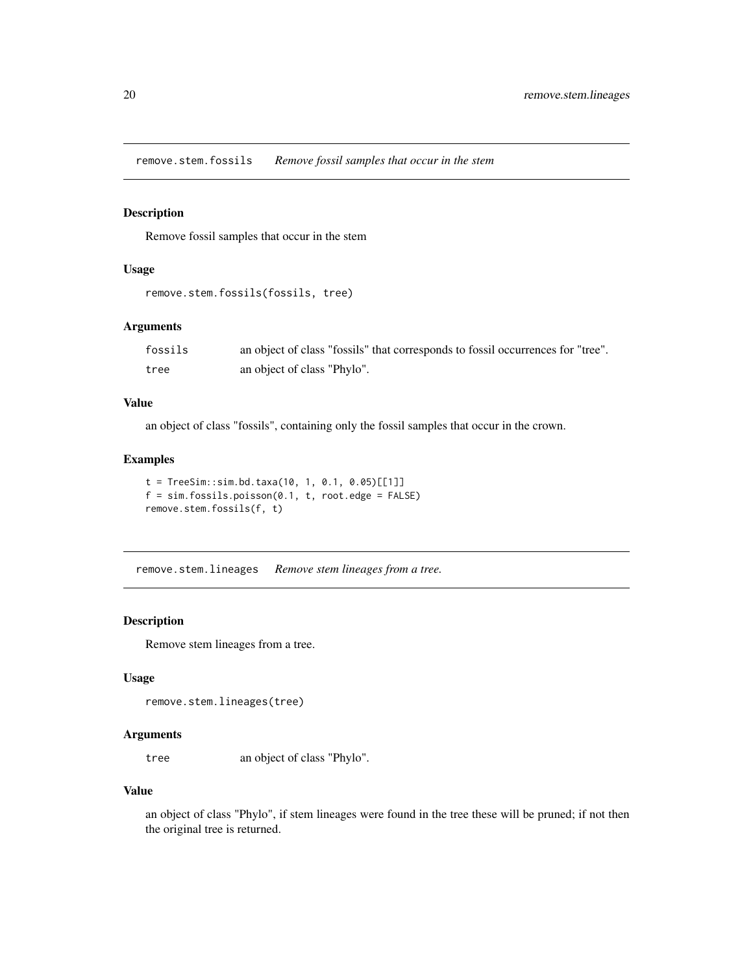<span id="page-19-0"></span>remove.stem.fossils *Remove fossil samples that occur in the stem*

#### Description

Remove fossil samples that occur in the stem

# Usage

```
remove.stem.fossils(fossils, tree)
```
# Arguments

| fossils | an object of class "fossils" that corresponds to fossil occurrences for "tree". |
|---------|---------------------------------------------------------------------------------|
| tree    | an object of class "Phylo".                                                     |

# Value

an object of class "fossils", containing only the fossil samples that occur in the crown.

#### Examples

```
t = TreeSim::sim.bd.taxa(10, 1, 0.1, 0.05)[[1]]f = sim.fossils.poisson(0.1, t, root. edge = FALSE)remove.stem.fossils(f, t)
```
remove.stem.lineages *Remove stem lineages from a tree.*

# Description

Remove stem lineages from a tree.

#### Usage

```
remove.stem.lineages(tree)
```
#### Arguments

tree an object of class "Phylo".

# Value

an object of class "Phylo", if stem lineages were found in the tree these will be pruned; if not then the original tree is returned.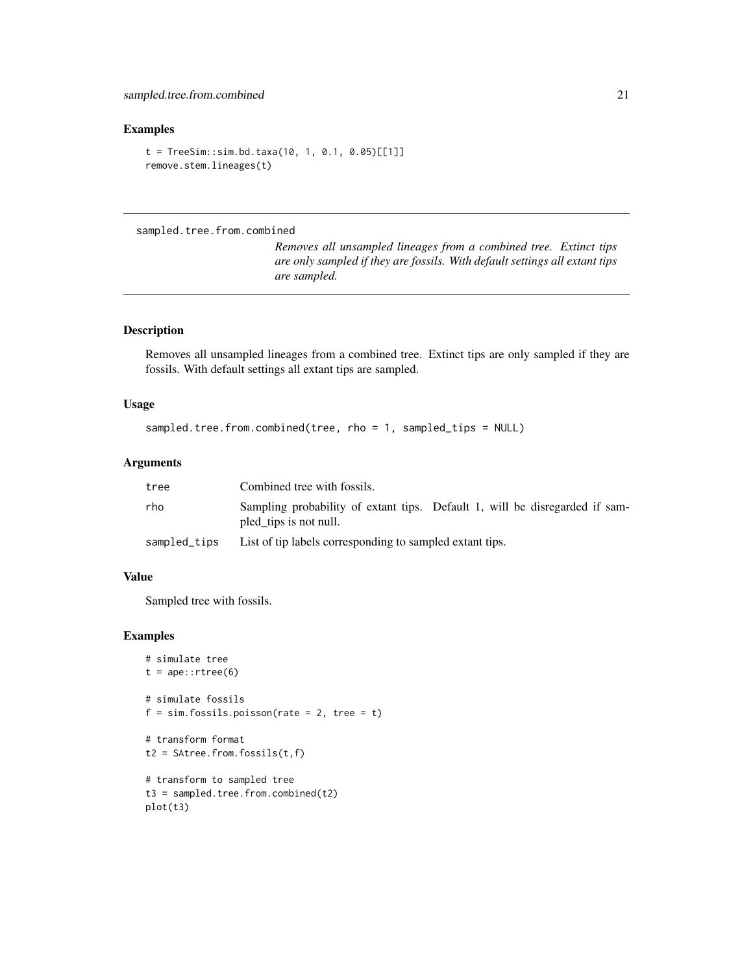# <span id="page-20-0"></span>Examples

```
t = TreeSim::sim.bd.taxa(10, 1, 0.1, 0.05)[[1]]remove.stem.lineages(t)
```
# sampled.tree.from.combined

*Removes all unsampled lineages from a combined tree. Extinct tips are only sampled if they are fossils. With default settings all extant tips are sampled.*

# Description

Removes all unsampled lineages from a combined tree. Extinct tips are only sampled if they are fossils. With default settings all extant tips are sampled.

# Usage

```
sampled.tree.from.combined(tree, rho = 1, sampled_tips = NULL)
```
#### Arguments

| tree         | Combined tree with fossils.                                                                           |
|--------------|-------------------------------------------------------------------------------------------------------|
| rho          | Sampling probability of extant tips. Default 1, will be disregarded if sam-<br>pled_tips is not null. |
| sampled_tips | List of tip labels corresponding to sampled extant tips.                                              |

#### Value

Sampled tree with fossils.

# Examples

```
# simulate tree
t = ape::rtree(6)# simulate fossils
f = sim.fossils.poisson(rate = 2, tree = t)# transform format
t2 = SAtree.from.fossils(t, f)
# transform to sampled tree
t3 = sampled.tree.from.combined(t2)
plot(t3)
```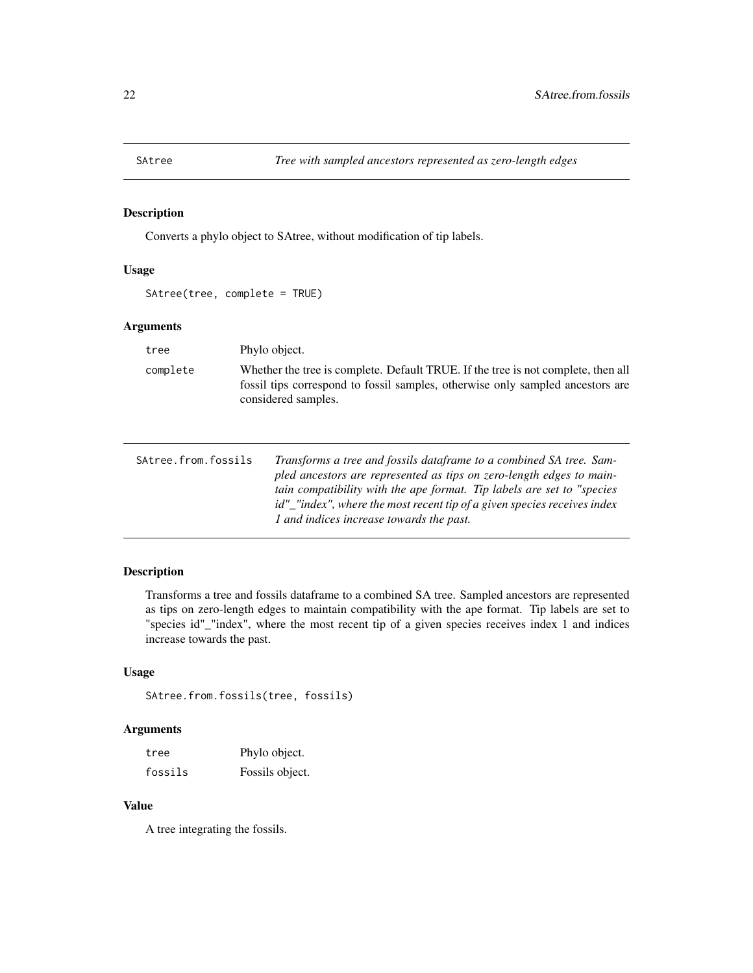<span id="page-21-0"></span>

Converts a phylo object to SAtree, without modification of tip labels.

# Usage

SAtree(tree, complete = TRUE)

#### Arguments

| tree     | Phylo object.                                                                                                                                                                              |
|----------|--------------------------------------------------------------------------------------------------------------------------------------------------------------------------------------------|
| complete | Whether the tree is complete. Default TRUE. If the tree is not complete, then all<br>fossil tips correspond to fossil samples, otherwise only sampled ancestors are<br>considered samples. |

| SAtree.from.fossils | Transforms a tree and fossils dataframe to a combined SA tree. Sam-      |
|---------------------|--------------------------------------------------------------------------|
|                     | pled ancestors are represented as tips on zero-length edges to main-     |
|                     | tain compatibility with the ape format. Tip labels are set to "species"  |
|                     | id"_"index", where the most recent tip of a given species receives index |
|                     | 1 and indices increase towards the past.                                 |

# Description

Transforms a tree and fossils dataframe to a combined SA tree. Sampled ancestors are represented as tips on zero-length edges to maintain compatibility with the ape format. Tip labels are set to "species id"\_"index", where the most recent tip of a given species receives index 1 and indices increase towards the past.

# Usage

```
SAtree.from.fossils(tree, fossils)
```
# Arguments

| tree    | Phylo object.   |
|---------|-----------------|
| fossils | Fossils object. |

# Value

A tree integrating the fossils.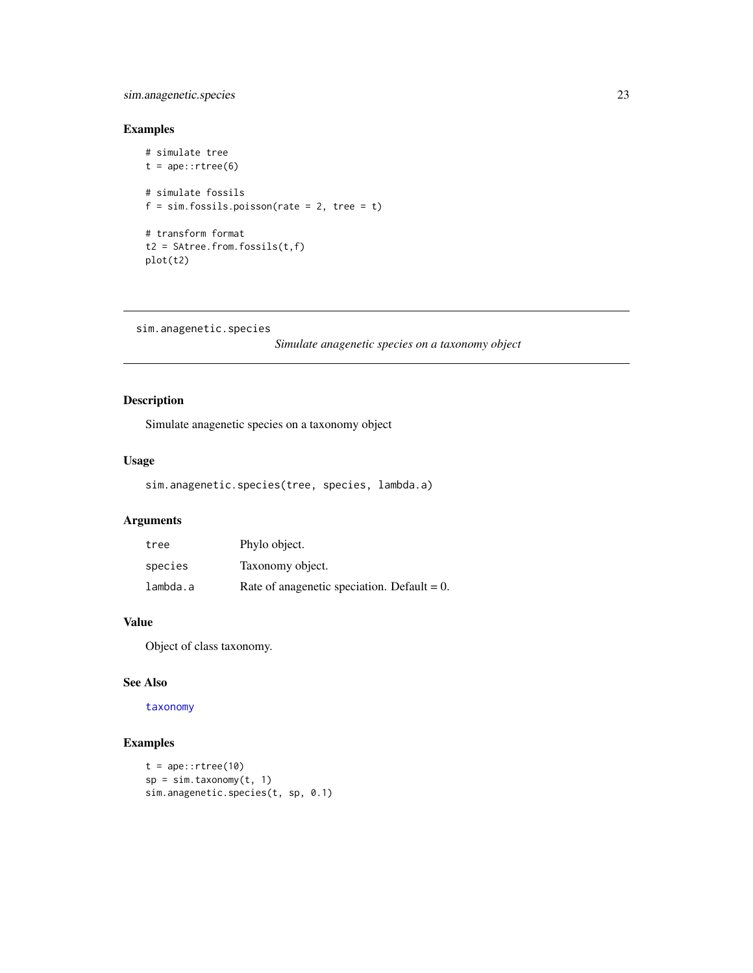# <span id="page-22-0"></span>sim.anagenetic.species 23

# Examples

```
# simulate tree
t = ape::rtree(6)# simulate fossils
f = sim.fossils.poisson(rate = 2, tree = t)# transform format
t2 = SAtree.from.fossils(t,f)
plot(t2)
```

```
sim.anagenetic.species
```
*Simulate anagenetic species on a taxonomy object*

# Description

Simulate anagenetic species on a taxonomy object

# Usage

sim.anagenetic.species(tree, species, lambda.a)

# Arguments

| tree     | Phylo object.                                  |
|----------|------------------------------------------------|
| species  | Taxonomy object.                               |
| lambda.a | Rate of anagemetic speciation. Default = $0$ . |

# Value

Object of class taxonomy.

# See Also

#### [taxonomy](#page-42-1)

# Examples

```
t = ape::rtree(10)sp = sim.taxonomy(t, 1)sim.anagenetic.species(t, sp, 0.1)
```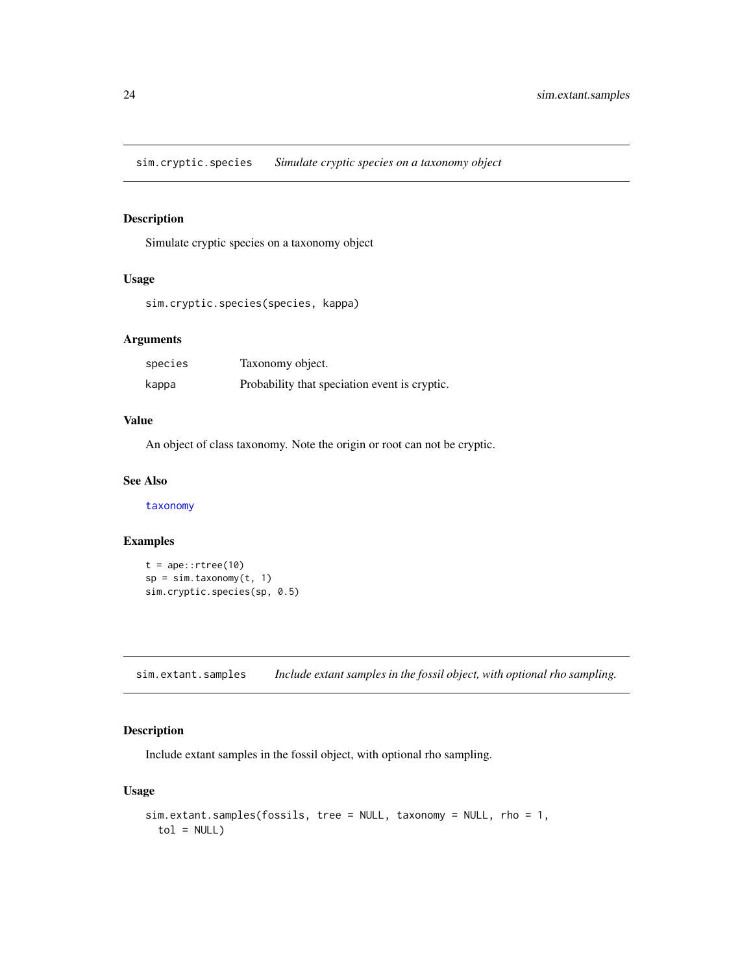<span id="page-23-0"></span>sim.cryptic.species *Simulate cryptic species on a taxonomy object*

#### Description

Simulate cryptic species on a taxonomy object

#### Usage

```
sim.cryptic.species(species, kappa)
```
# Arguments

| species | Taxonomy object.                              |
|---------|-----------------------------------------------|
| kappa   | Probability that speciation event is cryptic. |

# Value

An object of class taxonomy. Note the origin or root can not be cryptic.

#### See Also

[taxonomy](#page-42-1)

# Examples

```
t = ape::rtree(10)sp = sim.taxonomy(t, 1)sim.cryptic.species(sp, 0.5)
```
sim.extant.samples *Include extant samples in the fossil object, with optional rho sampling.*

# Description

Include extant samples in the fossil object, with optional rho sampling.

#### Usage

```
sim.extant.samples(fossils, tree = NULL, taxonomy = NULL, rho = 1,
 tol = NULL)
```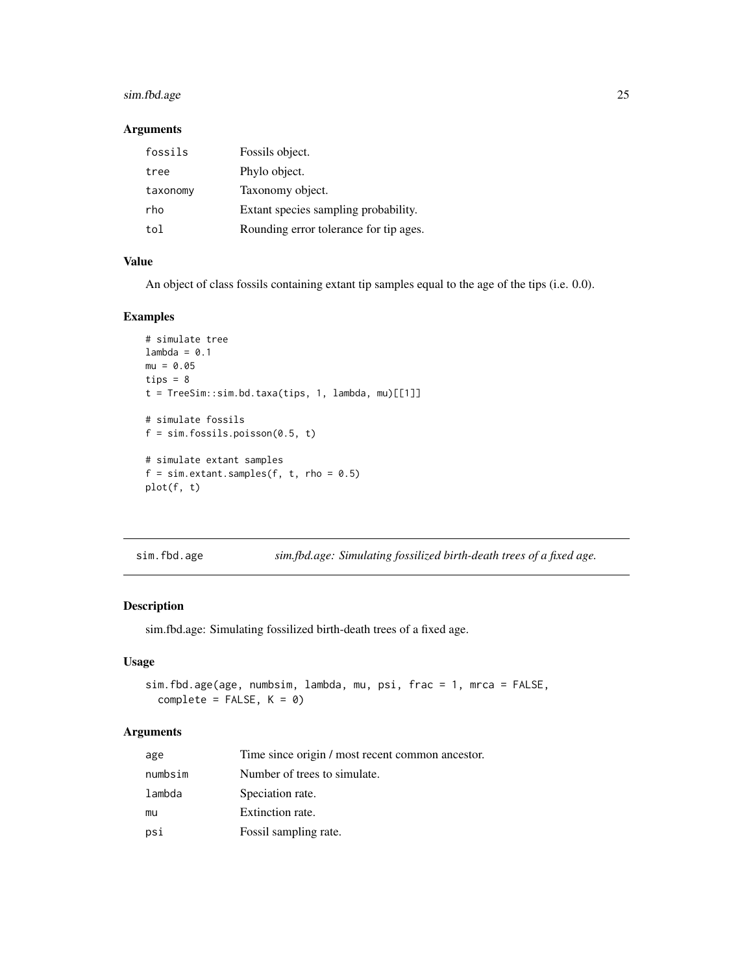# <span id="page-24-0"></span>sim.fbd.age 25

#### Arguments

| fossils  | Fossils object.                        |
|----------|----------------------------------------|
| tree     | Phylo object.                          |
| taxonomy | Taxonomy object.                       |
| rho      | Extant species sampling probability.   |
| tol      | Rounding error tolerance for tip ages. |

# Value

An object of class fossils containing extant tip samples equal to the age of the tips (i.e. 0.0).

# Examples

```
# simulate tree
lambda = 0.1mu = 0.05tips = 8t = TreeSim::sim.bd.taxa(tips, 1, lambda, mu)[[1]]
# simulate fossils
f = sim.fossils.poisson(0.5, t)# simulate extant samples
f = sim.extant.samples(f, t, rho = 0.5)
plot(f, t)
```
sim.fbd.age *sim.fbd.age: Simulating fossilized birth-death trees of a fixed age.*

# Description

sim.fbd.age: Simulating fossilized birth-death trees of a fixed age.

#### Usage

```
sim.fbd.age(age, numbsim, lambda, mu, psi, frac = 1, mrca = FALSE,
 complete = FALSE, K = 0)
```

| age     | Time since origin / most recent common ancestor. |
|---------|--------------------------------------------------|
| numbsim | Number of trees to simulate.                     |
| lambda  | Speciation rate.                                 |
| mu      | Extinction rate.                                 |
| psi     | Fossil sampling rate.                            |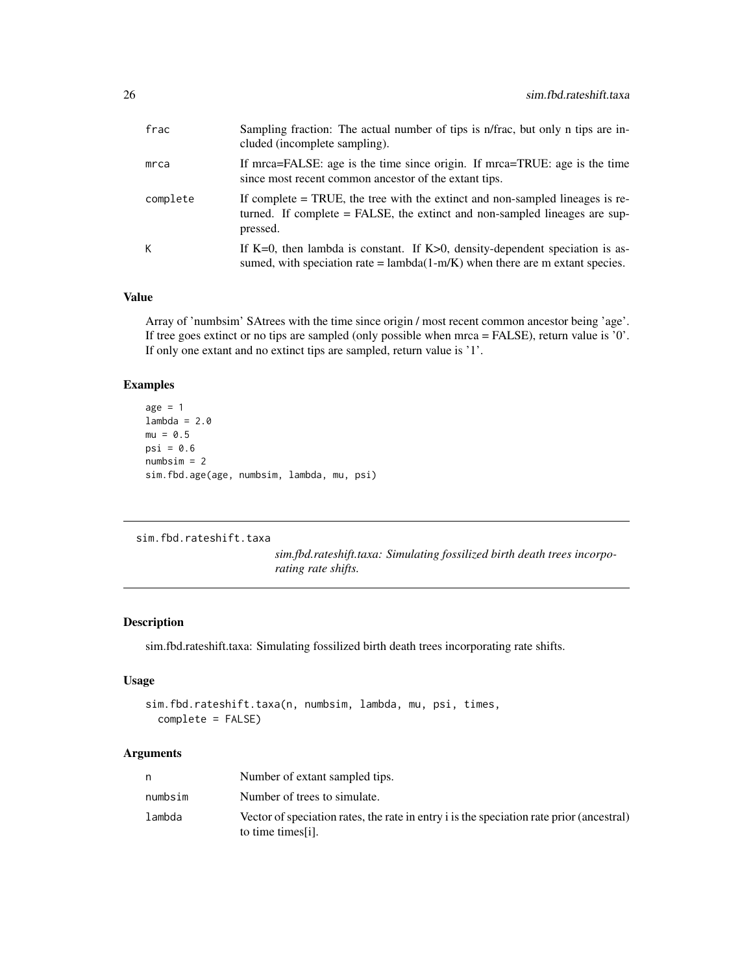<span id="page-25-0"></span>

| frac     | Sampling fraction: The actual number of tips is n/frac, but only n tips are in-<br>cluded (incomplete sampling).                                                          |
|----------|---------------------------------------------------------------------------------------------------------------------------------------------------------------------------|
| mrca     | If mrca=FALSE: age is the time since origin. If mrca=TRUE: age is the time<br>since most recent common ancestor of the extant tips.                                       |
| complete | If complete $=$ TRUE, the tree with the extinct and non-sampled lineages is re-<br>turned. If complete = FALSE, the extinct and non-sampled lineages are sup-<br>pressed. |
| К        | If K=0, then lambda is constant. If K>0, density-dependent speciation is as-<br>sumed, with speciation rate = $lambda(1-m/K)$ when there are m extant species.            |

# Value

Array of 'numbsim' SAtrees with the time since origin / most recent common ancestor being 'age'. If tree goes extinct or no tips are sampled (only possible when mrca = FALSE), return value is '0'. If only one extant and no extinct tips are sampled, return value is '1'.

# Examples

```
age = 1lambda = 2.0mu = 0.5psi = 0.6numbsim = 2
sim.fbd.age(age, numbsim, lambda, mu, psi)
```

```
sim.fbd.rateshift.taxa
```
*sim.fbd.rateshift.taxa: Simulating fossilized birth death trees incorporating rate shifts.*

# Description

sim.fbd.rateshift.taxa: Simulating fossilized birth death trees incorporating rate shifts.

#### Usage

```
sim.fbd.rateshift.taxa(n, numbsim, lambda, mu, psi, times,
 complete = FALSE)
```

| n       | Number of extant sampled tips.                                                                                 |
|---------|----------------------------------------------------------------------------------------------------------------|
| numbsim | Number of trees to simulate.                                                                                   |
| lambda  | Vector of speciation rates, the rate in entry i is the speciation rate prior (ancestral)<br>to time times [i]. |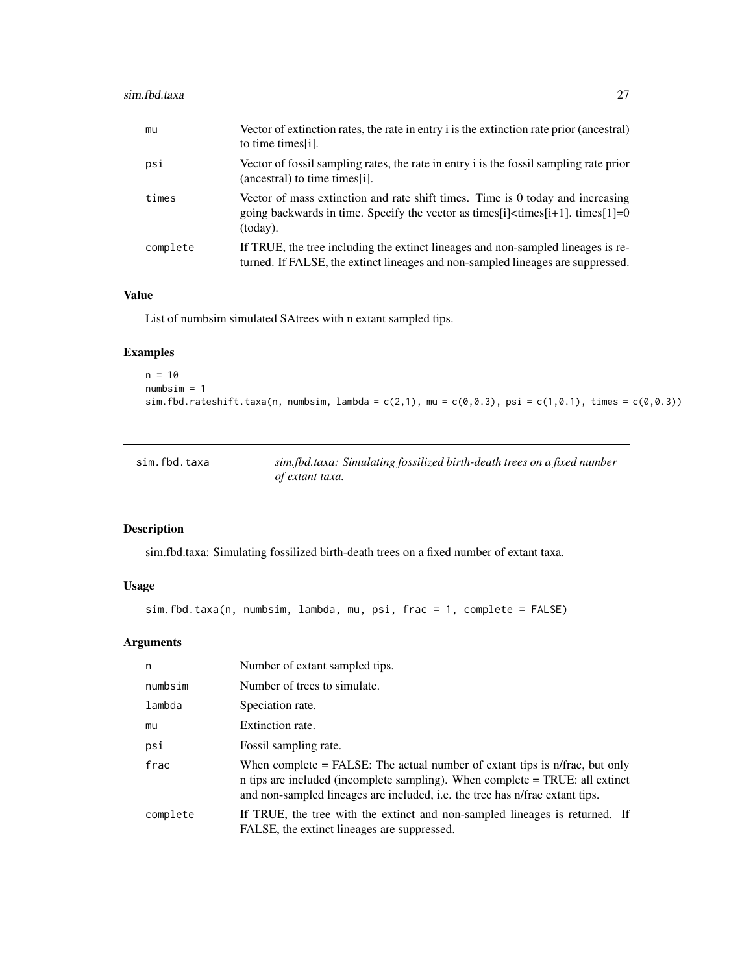# <span id="page-26-0"></span>sim.fbd.taxa 27

| mu       | Vector of extinction rates, the rate in entry i is the extinction rate prior (ancestral)<br>to time times [i].                                                                              |
|----------|---------------------------------------------------------------------------------------------------------------------------------------------------------------------------------------------|
| psi      | Vector of fossil sampling rates, the rate in entry i is the fossil sampling rate prior<br>(ancestral) to time times [i].                                                                    |
| times    | Vector of mass extinction and rate shift times. Time is 0 today and increasing<br>going backwards in time. Specify the vector as times [i] $\langle$ times [i+1]. times [1] = 0<br>(today). |
| complete | If TRUE, the tree including the extinct lineages and non-sampled lineages is re-<br>turned. If FALSE, the extinct lineages and non-sampled lineages are suppressed.                         |

#### Value

List of numbsim simulated SAtrees with n extant sampled tips.

# Examples

```
n = 10numbsim = 1
sim.fbd.rateshift.taxa(n, numbsim, lambda = c(2,1), mu = c(0,0.3), psi = c(1,0.1), times = c(0,0.3))
```

| sim.fbd.taxa | sim.fbd.taxa: Simulating fossilized birth-death trees on a fixed number |
|--------------|-------------------------------------------------------------------------|
|              | of extant taxa.                                                         |

# Description

sim.fbd.taxa: Simulating fossilized birth-death trees on a fixed number of extant taxa.

# Usage

```
sim.fbd.taxa(n, numbsim, lambda, mu, psi, frac = 1, complete = FALSE)
```

| n        | Number of extant sampled tips.                                                                                                                                                                                                                |
|----------|-----------------------------------------------------------------------------------------------------------------------------------------------------------------------------------------------------------------------------------------------|
| numbsim  | Number of trees to simulate.                                                                                                                                                                                                                  |
| lambda   | Speciation rate.                                                                                                                                                                                                                              |
| mu       | Extinction rate.                                                                                                                                                                                                                              |
| psi      | Fossil sampling rate.                                                                                                                                                                                                                         |
| frac     | When complete $=$ FALSE: The actual number of extant tips is n/frac, but only<br>n tips are included (incomplete sampling). When complete = TRUE: all extinct<br>and non-sampled lineages are included, i.e. the tree has n/frac extant tips. |
| complete | If TRUE, the tree with the extinct and non-sampled lineages is returned. If<br>FALSE, the extinct lineages are suppressed.                                                                                                                    |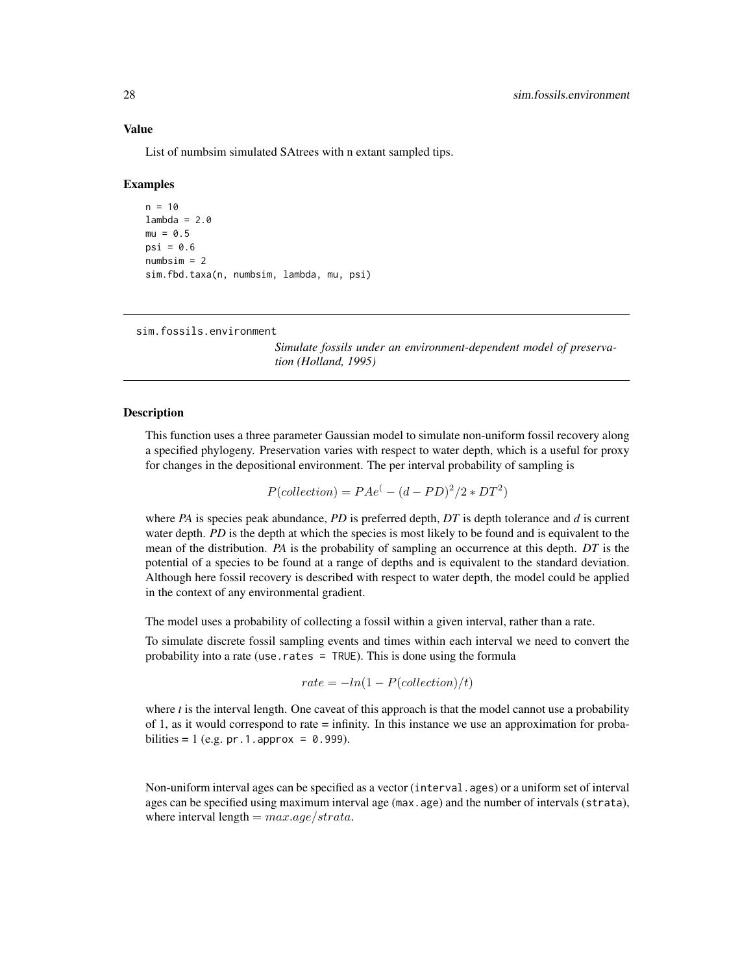List of numbsim simulated SAtrees with n extant sampled tips.

#### Examples

```
n = 10lambda = 2.0mu = 0.5psi = 0.6numbsim = 2sim.fbd.taxa(n, numbsim, lambda, mu, psi)
```
<span id="page-27-1"></span>sim.fossils.environment

*Simulate fossils under an environment-dependent model of preservation (Holland, 1995)*

#### Description

This function uses a three parameter Gaussian model to simulate non-uniform fossil recovery along a specified phylogeny. Preservation varies with respect to water depth, which is a useful for proxy for changes in the depositional environment. The per interval probability of sampling is

$$
P(collections) = P A e^{(-d - PD)^2/2 * DT^2)}
$$

where *PA* is species peak abundance, *PD* is preferred depth, *DT* is depth tolerance and *d* is current water depth. *PD* is the depth at which the species is most likely to be found and is equivalent to the mean of the distribution. *PA* is the probability of sampling an occurrence at this depth. *DT* is the potential of a species to be found at a range of depths and is equivalent to the standard deviation. Although here fossil recovery is described with respect to water depth, the model could be applied in the context of any environmental gradient.

The model uses a probability of collecting a fossil within a given interval, rather than a rate.

To simulate discrete fossil sampling events and times within each interval we need to convert the probability into a rate (use.rates = TRUE). This is done using the formula

$$
rate = -ln(1 - P(collections)/t)
$$

where *t* is the interval length. One caveat of this approach is that the model cannot use a probability of 1, as it would correspond to rate = infinity. In this instance we use an approximation for probabilities = 1 (e.g. pr. 1. approx =  $0.999$ ).

Non-uniform interval ages can be specified as a vector (interval.ages) or a uniform set of interval ages can be specified using maximum interval age (max.age) and the number of intervals (strata), where interval length =  $max.age/strata.$ 

<span id="page-27-0"></span>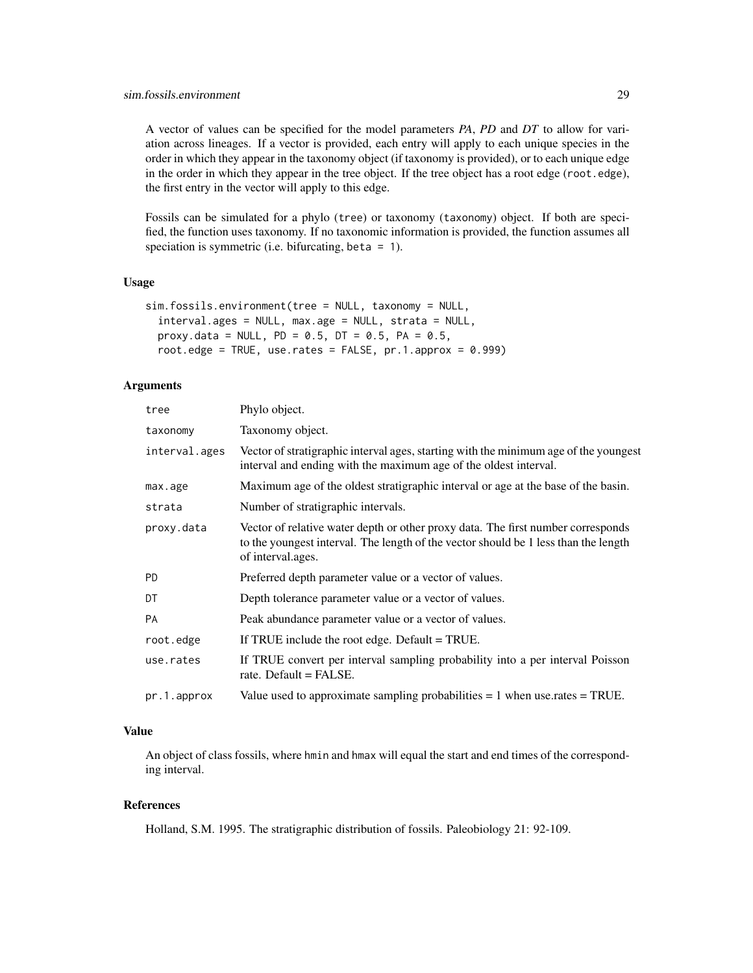A vector of values can be specified for the model parameters *PA*, *PD* and *DT* to allow for variation across lineages. If a vector is provided, each entry will apply to each unique species in the order in which they appear in the taxonomy object (if taxonomy is provided), or to each unique edge in the order in which they appear in the tree object. If the tree object has a root edge (root.edge), the first entry in the vector will apply to this edge.

Fossils can be simulated for a phylo (tree) or taxonomy (taxonomy) object. If both are specified, the function uses taxonomy. If no taxonomic information is provided, the function assumes all speciation is symmetric (i.e. bifurcating, beta  $= 1$ ).

# Usage

```
sim.fossils.environment(tree = NULL, taxonomy = NULL,
  interval.ages = NULL, max.age = NULL, strata = NULL,
 proxy.data = NULL, PD = 0.5, DT = 0.5, PA = 0.5,
 root.edge = TRUE, use.rates = FALSE, pr.1.approx = 0.999)
```
# Arguments

| tree          | Phylo object.                                                                                                                                                                                |
|---------------|----------------------------------------------------------------------------------------------------------------------------------------------------------------------------------------------|
| taxonomy      | Taxonomy object.                                                                                                                                                                             |
| interval.ages | Vector of stratigraphic interval ages, starting with the minimum age of the youngest<br>interval and ending with the maximum age of the oldest interval.                                     |
| max.age       | Maximum age of the oldest stratigraphic interval or age at the base of the basin.                                                                                                            |
| strata        | Number of stratigraphic intervals.                                                                                                                                                           |
| proxy.data    | Vector of relative water depth or other proxy data. The first number corresponds<br>to the youngest interval. The length of the vector should be 1 less than the length<br>of interval ages. |
| <b>PD</b>     | Preferred depth parameter value or a vector of values.                                                                                                                                       |
| DT            | Depth tolerance parameter value or a vector of values.                                                                                                                                       |
| <b>PA</b>     | Peak abundance parameter value or a vector of values.                                                                                                                                        |
| root.edge     | If TRUE include the root edge. Default = TRUE.                                                                                                                                               |
| use.rates     | If TRUE convert per interval sampling probability into a per interval Poisson<br>rate. Default $=$ FALSE.                                                                                    |
| pr.1.approx   | Value used to approximate sampling probabilities $= 1$ when use rates $=$ TRUE.                                                                                                              |

# Value

An object of class fossils, where hmin and hmax will equal the start and end times of the corresponding interval.

# References

Holland, S.M. 1995. The stratigraphic distribution of fossils. Paleobiology 21: 92-109.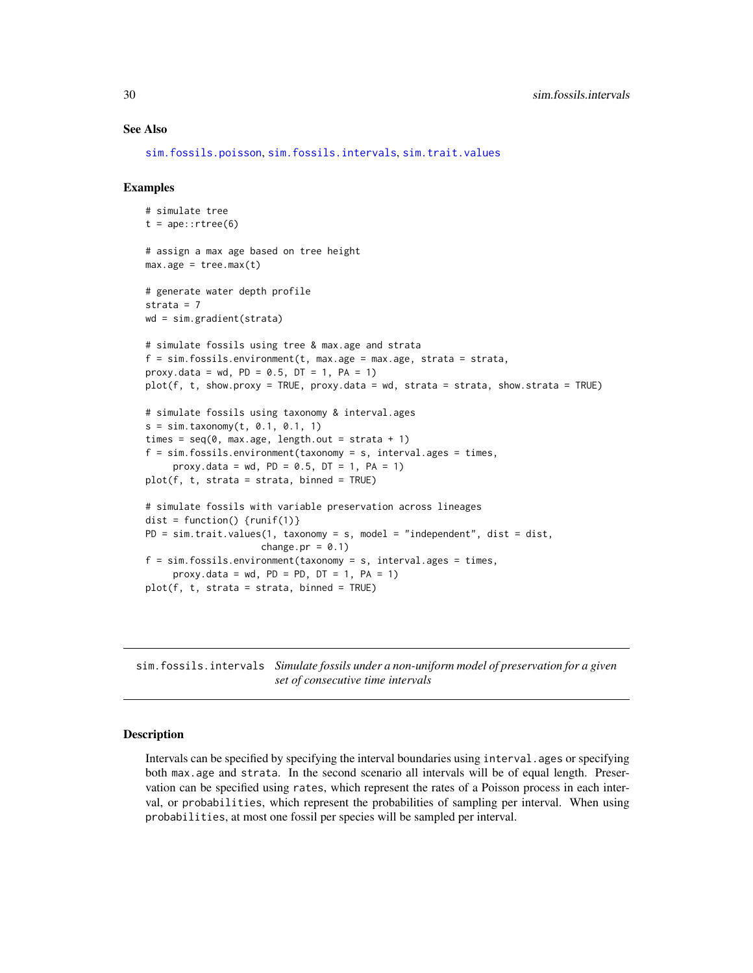#### See Also

[sim.fossils.poisson](#page-31-1), [sim.fossils.intervals](#page-29-1), [sim.trait.values](#page-36-1)

#### Examples

```
# simulate tree
t = ape::rtree(6)# assign a max age based on tree height
max.age = tree.max(t)# generate water depth profile
strata = 7
wd = sim.gradient(strata)
# simulate fossils using tree & max.age and strata
f = sim.fossils.environment(t, max.age = max.age, strata = strata,
proxy.data = wd, PD = 0.5, DT = 1, PA = 1)
plot(f, t, show.proxy = TRUE, proxy.data = wd, strata = strata, show.strata = TRUE)
# simulate fossils using taxonomy & interval.ages
s = sim.taxonomy(t, 0.1, 0.1, 1)
times = seq(0, max.age, length.out = strata + 1)f = sim.fossils.environment(taxonomy = s, interval.ages = times,
     proxy.data = wd, PD = 0.5, DT = 1, PA = 1)
plot(f, t, strata = strata, binned = TRUE)
# simulate fossils with variable preservation across lineages
dist = function() {runif(1)}
PD = sim.trait.values(1, taxonomy = s, model = "independent", dist = dist,
                     change.pr = 0.1)
f = sim.fossils.environment(taxonomy = s, interval.ages = times,
     proxy.data = wd, PD = PD, DT = 1, PA = 1)
plot(f, t, strata = strata, binned = TRUE)
```
<span id="page-29-1"></span>sim.fossils.intervals *Simulate fossils under a non-uniform model of preservation for a given set of consecutive time intervals*

#### Description

Intervals can be specified by specifying the interval boundaries using interval.ages or specifying both max.age and strata. In the second scenario all intervals will be of equal length. Preservation can be specified using rates, which represent the rates of a Poisson process in each interval, or probabilities, which represent the probabilities of sampling per interval. When using probabilities, at most one fossil per species will be sampled per interval.

<span id="page-29-0"></span>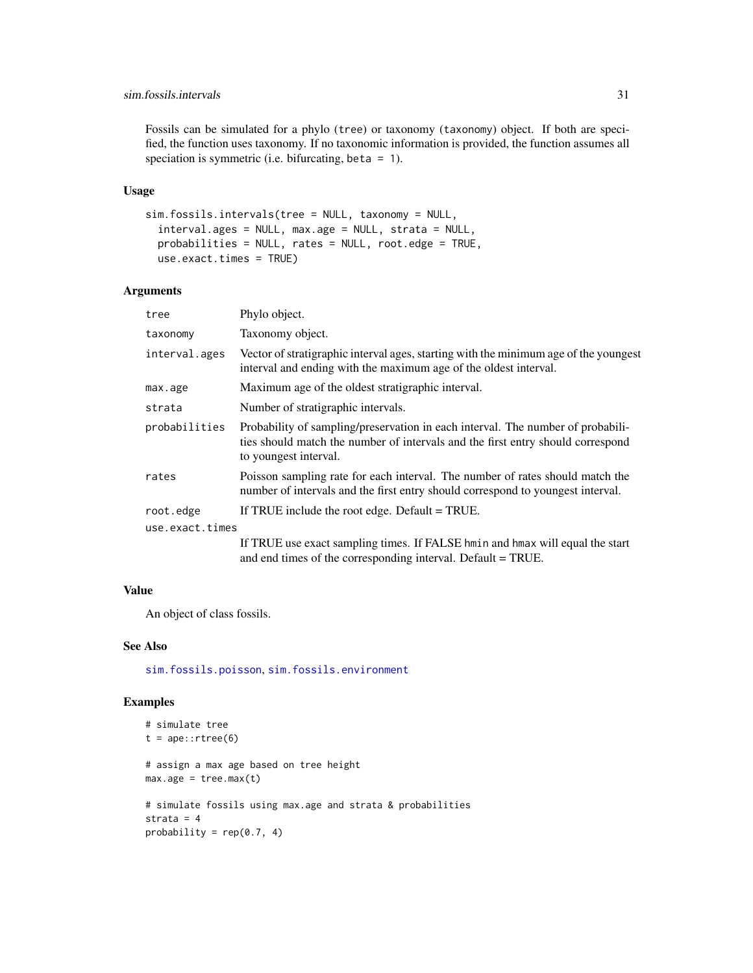#### <span id="page-30-0"></span>sim.fossils.intervals 31

Fossils can be simulated for a phylo (tree) or taxonomy (taxonomy) object. If both are specified, the function uses taxonomy. If no taxonomic information is provided, the function assumes all speciation is symmetric (i.e. bifurcating, beta  $= 1$ ).

#### Usage

```
sim.fossils.intervals(tree = NULL, taxonomy = NULL,
  interval.ages = NULL, max.age = NULL, strata = NULL,
 probabilities = NULL, rates = NULL, root.edge = TRUE,
 use.exact.times = TRUE)
```
#### Arguments

| tree            | Phylo object.                                                                                                                                                                               |
|-----------------|---------------------------------------------------------------------------------------------------------------------------------------------------------------------------------------------|
| taxonomy        | Taxonomy object.                                                                                                                                                                            |
| interval.ages   | Vector of stratigraphic interval ages, starting with the minimum age of the youngest<br>interval and ending with the maximum age of the oldest interval.                                    |
| max.age         | Maximum age of the oldest stratigraphic interval.                                                                                                                                           |
| strata          | Number of stratigraphic intervals.                                                                                                                                                          |
| probabilities   | Probability of sampling/preservation in each interval. The number of probabili-<br>ties should match the number of intervals and the first entry should correspond<br>to youngest interval. |
| rates           | Poisson sampling rate for each interval. The number of rates should match the<br>number of intervals and the first entry should correspond to youngest interval.                            |
| root.edge       | If TRUE include the root edge. Default = TRUE.                                                                                                                                              |
| use.exact.times |                                                                                                                                                                                             |
|                 | If TRUE use exact sampling times. If FALSE hmin and hmax will equal the start<br>and end times of the corresponding interval. Default = TRUE.                                               |

#### Value

An object of class fossils.

# See Also

[sim.fossils.poisson](#page-31-1), [sim.fossils.environment](#page-27-1)

# Examples

```
# simulate tree
t = ape::rtree(6)# assign a max age based on tree height
max.age = tree.max(t)
# simulate fossils using max.age and strata & probabilities
strata = 4
probability = rep(0.7, 4)
```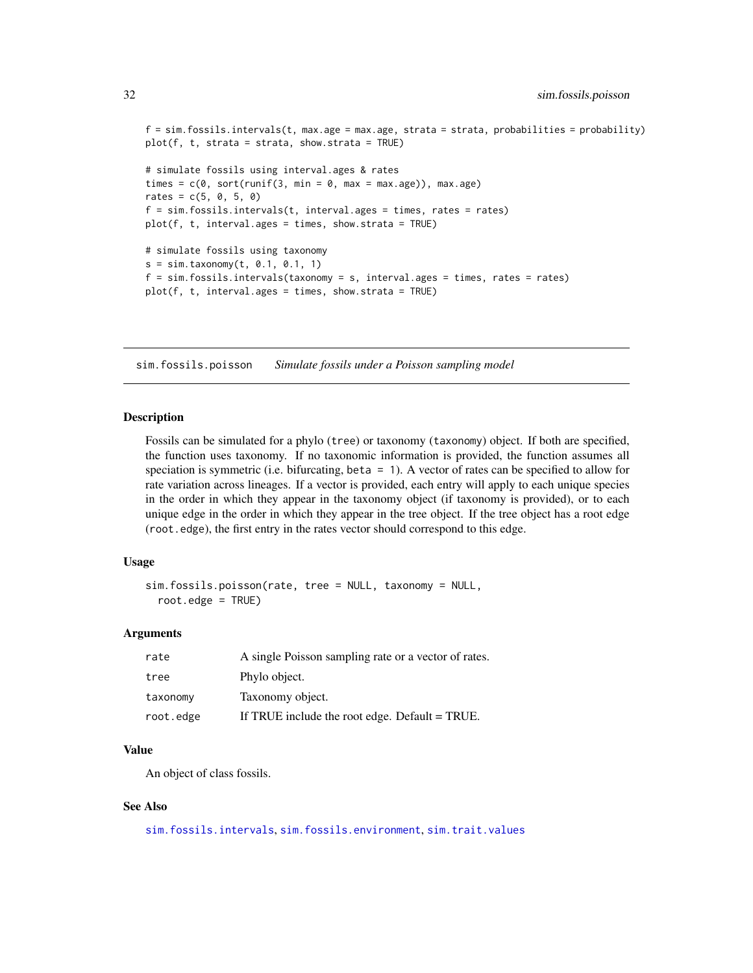```
f = sim.fossils.intervals(t, max.age = max.age, strata = strata, probabilities = probability)plot(f, t, strata = strata, show.strata = TRUE)
# simulate fossils using interval.ages & rates
times = c(\theta, sort(runif(3, min = \theta, max = max.age)), max.age)rates = c(5, 0, 5, 0)f = sim.fossils.intervals(t, interval.ages = times, rates = rates)plot(f, t, interval.ages = times, show.strata = TRUE)
# simulate fossils using taxonomy
s = sim.taxonomy(t, 0.1, 0.1, 1)f = sim.fossils.intervals(taxonomy = s, interval.ages = times, rates = rates)plot(f, t, interval.ages = times, show.strata = TRUE)
```
<span id="page-31-1"></span>sim.fossils.poisson *Simulate fossils under a Poisson sampling model*

#### Description

Fossils can be simulated for a phylo (tree) or taxonomy (taxonomy) object. If both are specified, the function uses taxonomy. If no taxonomic information is provided, the function assumes all speciation is symmetric (i.e. bifurcating, beta = 1). A vector of rates can be specified to allow for rate variation across lineages. If a vector is provided, each entry will apply to each unique species in the order in which they appear in the taxonomy object (if taxonomy is provided), or to each unique edge in the order in which they appear in the tree object. If the tree object has a root edge (root.edge), the first entry in the rates vector should correspond to this edge.

#### Usage

```
sim.fossils.poisson(rate, tree = NULL, taxonomy = NULL,
  root.edge = TRUE)
```
#### Arguments

| rate      | A single Poisson sampling rate or a vector of rates. |
|-----------|------------------------------------------------------|
| tree      | Phylo object.                                        |
| taxonomy  | Taxonomy object.                                     |
| root.edge | If TRUE include the root edge. Default = TRUE.       |

# Value

An object of class fossils.

#### See Also

[sim.fossils.intervals](#page-29-1), [sim.fossils.environment](#page-27-1), [sim.trait.values](#page-36-1)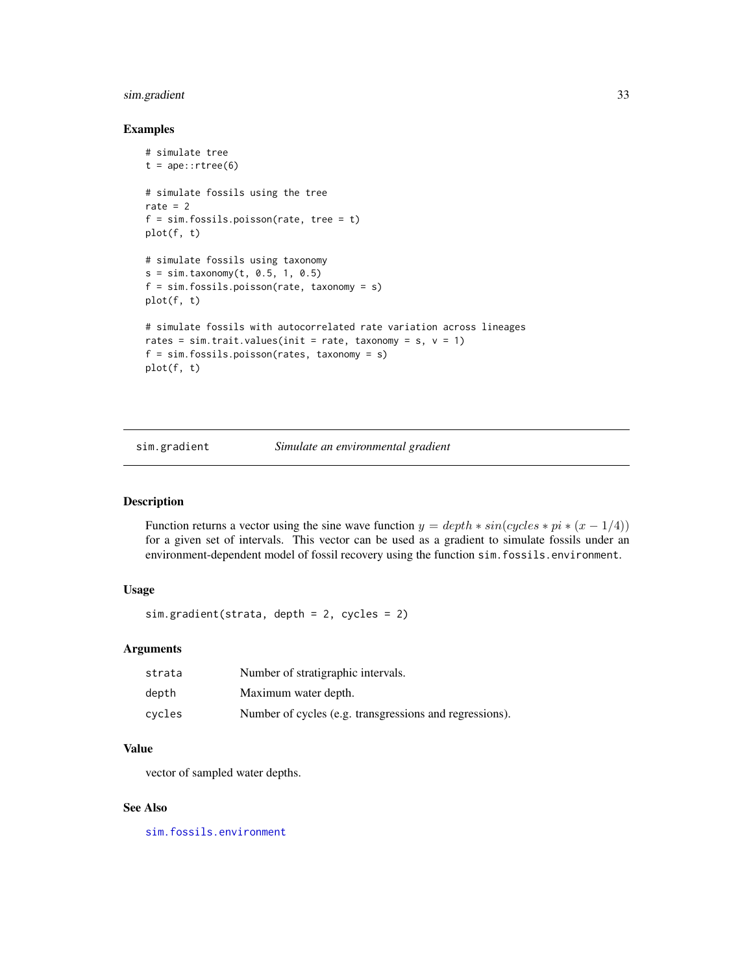# <span id="page-32-0"></span>sim.gradient 33

#### Examples

```
# simulate tree
t = ape::rtree(6)# simulate fossils using the tree
rate = 2f = sim.fossils.poisson(rate, tree = t)plot(f, t)
# simulate fossils using taxonomy
s = sim.taxonomy(t, 0.5, 1, 0.5)f = sim.fossils.poisson(rate, taxonomy = s)
plot(f, t)
# simulate fossils with autocorrelated rate variation across lineages
rates = sim.trait.values(init = rate, taxonomy = s, v = 1)
f = sim.fossils.poisson(rates, taxonomy = s)
plot(f, t)
```
sim.gradient *Simulate an environmental gradient*

# Description

Function returns a vector using the sine wave function  $y = depth * sin(cycles * pi * (x - 1/4))$ for a given set of intervals. This vector can be used as a gradient to simulate fossils under an environment-dependent model of fossil recovery using the function sim.fossils.environment.

#### Usage

sim.gradient(strata, depth = 2, cycles = 2)

# Arguments

| strata | Number of stratigraphic intervals.                      |
|--------|---------------------------------------------------------|
| depth  | Maximum water depth.                                    |
| cvcles | Number of cycles (e.g. transgressions and regressions). |

# Value

vector of sampled water depths.

#### See Also

[sim.fossils.environment](#page-27-1)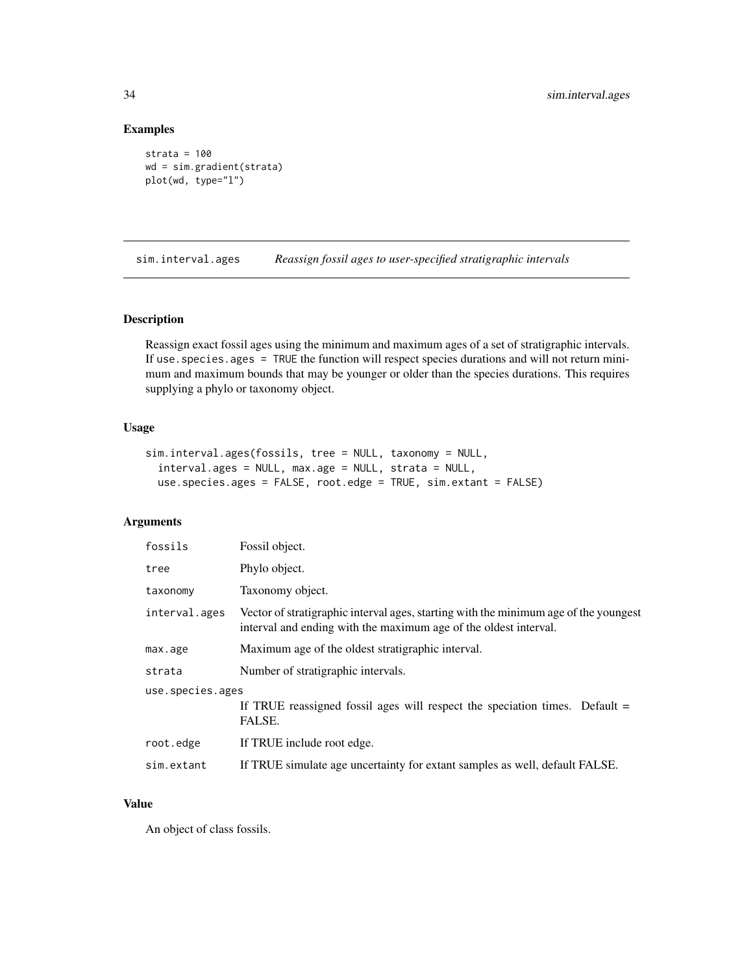# Examples

```
strata = 100
wd = sim.gradient(strata)
plot(wd, type="l")
```
sim.interval.ages *Reassign fossil ages to user-specified stratigraphic intervals*

#### Description

Reassign exact fossil ages using the minimum and maximum ages of a set of stratigraphic intervals. If use.species.ages = TRUE the function will respect species durations and will not return minimum and maximum bounds that may be younger or older than the species durations. This requires supplying a phylo or taxonomy object.

# Usage

```
sim.interval.ages(fossils, tree = NULL, taxonomy = NULL,
  interval.ages = NULL, max.age = NULL, strata = NULL,
  use.species.ages = FALSE, root.edge = TRUE, sim.extant = FALSE)
```
# Arguments

| fossils          | Fossil object.                                                                                                                                           |  |
|------------------|----------------------------------------------------------------------------------------------------------------------------------------------------------|--|
| tree             | Phylo object.                                                                                                                                            |  |
| taxonomy         | Taxonomy object.                                                                                                                                         |  |
| interval.ages    | Vector of stratigraphic interval ages, starting with the minimum age of the youngest<br>interval and ending with the maximum age of the oldest interval. |  |
| max.age          | Maximum age of the oldest stratigraphic interval.                                                                                                        |  |
| strata           | Number of stratigraphic intervals.                                                                                                                       |  |
| use.species.ages |                                                                                                                                                          |  |
|                  | If TRUE reassigned fossil ages will respect the speciation times. Default $=$<br>FALSE.                                                                  |  |
| root.edge        | If TRUE include root edge.                                                                                                                               |  |
| sim.extant       | If TRUE simulate age uncertainty for extant samples as well, default FALSE.                                                                              |  |

# Value

An object of class fossils.

<span id="page-33-0"></span>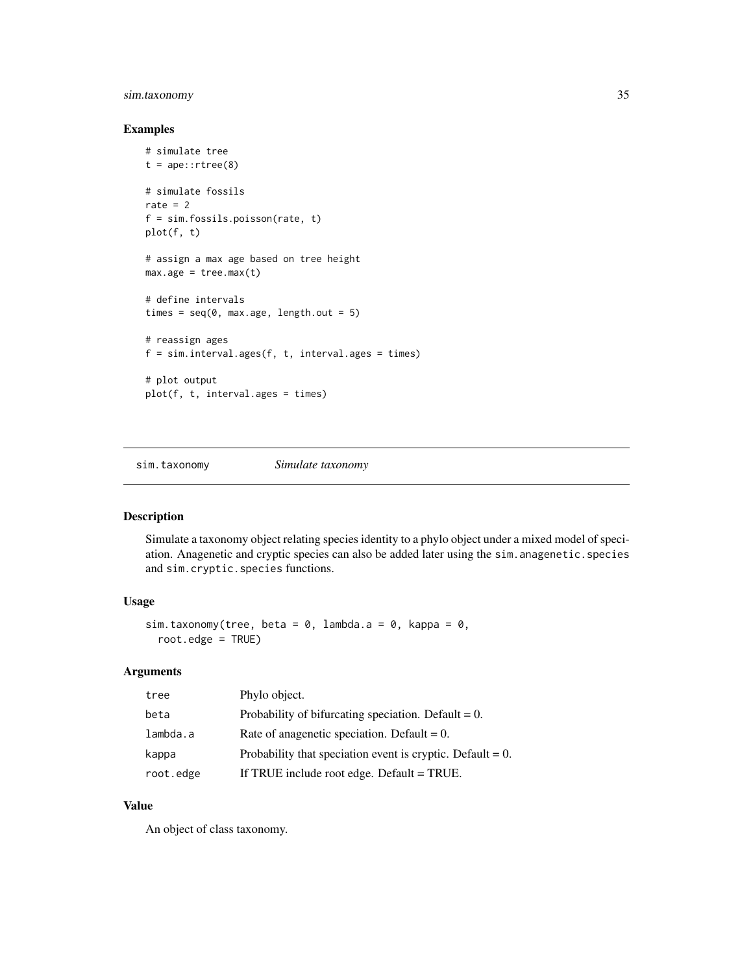# <span id="page-34-0"></span>sim.taxonomy 35

# Examples

```
# simulate tree
t = ape::rtree(8)# simulate fossils
rate = 2f = sim.fossils.poisson(rate, t)
plot(f, t)
# assign a max age based on tree height
max.age = tree.max(t)# define intervals
times = seq(0, max.age, length.out = 5)# reassign ages
f = sim.interval.ages(f, t, interval.ages = times)# plot output
plot(f, t, interval.ages = times)
```
sim.taxonomy *Simulate taxonomy*

#### Description

Simulate a taxonomy object relating species identity to a phylo object under a mixed model of speciation. Anagenetic and cryptic species can also be added later using the sim.anagenetic.species and sim.cryptic.species functions.

# Usage

```
sim.taxonomy(tree, beta = 0, lambda.a = 0, kappa = 0,
 root.edge = TRUE)
```
# Arguments

| tree      | Phylo object.                                                 |
|-----------|---------------------------------------------------------------|
| beta      | Probability of bifurcating speciation. Default $= 0$ .        |
| lambda.a  | Rate of anagemetic speciation. Default $= 0$ .                |
| kappa     | Probability that speciation event is cryptic. Default = $0$ . |
| root.edge | If TRUE include root edge. Default = TRUE.                    |

# Value

An object of class taxonomy.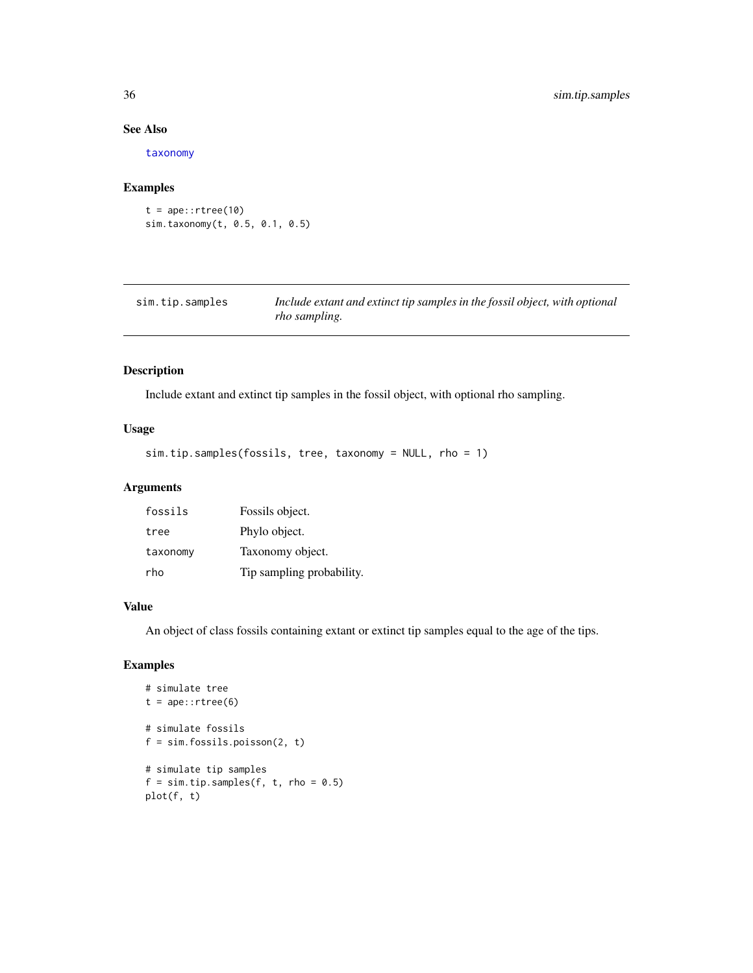# See Also

[taxonomy](#page-42-1)

#### Examples

 $t = ape::rtree(10)$ sim.taxonomy(t, 0.5, 0.1, 0.5)

| sim.tip.samples | Include extant and extinct tip samples in the fossil object, with optional |
|-----------------|----------------------------------------------------------------------------|
|                 | <i>rho sampling.</i>                                                       |

# Description

Include extant and extinct tip samples in the fossil object, with optional rho sampling.

# Usage

sim.tip.samples(fossils, tree, taxonomy = NULL, rho = 1)

# Arguments

| fossils  | Fossils object.           |
|----------|---------------------------|
| tree     | Phylo object.             |
| taxonomy | Taxonomy object.          |
| rho      | Tip sampling probability. |

#### Value

An object of class fossils containing extant or extinct tip samples equal to the age of the tips.

#### Examples

```
# simulate tree
t = ape::rtree(6)# simulate fossils
f = sim.fossils.poisson(2, t)# simulate tip samples
f = sim.tip.samples(f, t, rho = 0.5)plot(f, t)
```
<span id="page-35-0"></span>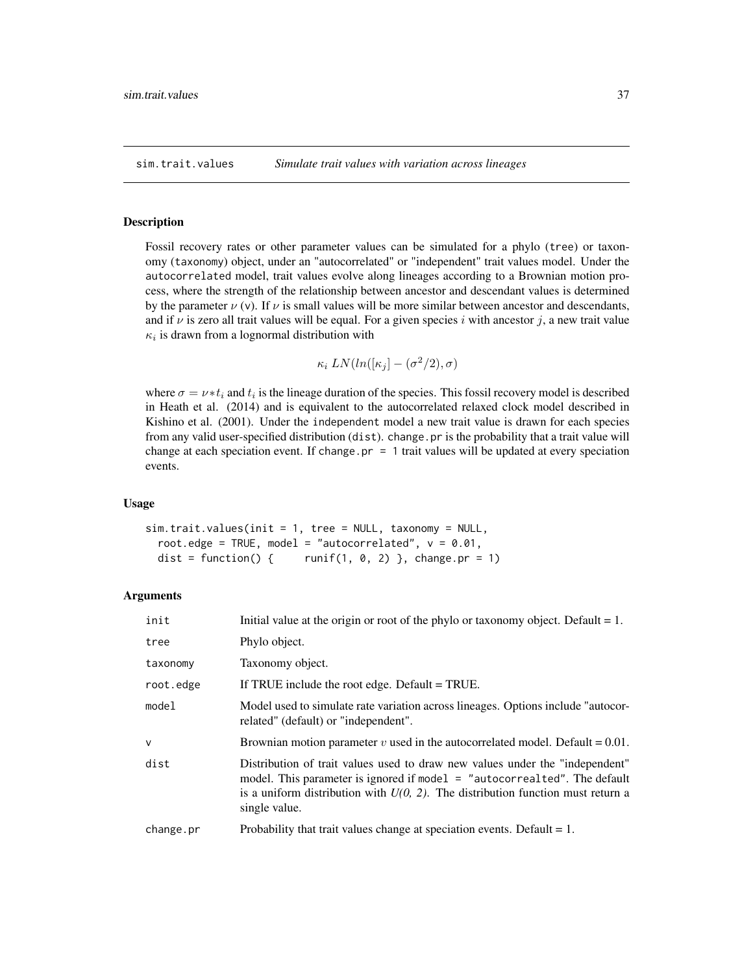<span id="page-36-1"></span><span id="page-36-0"></span>

Fossil recovery rates or other parameter values can be simulated for a phylo (tree) or taxonomy (taxonomy) object, under an "autocorrelated" or "independent" trait values model. Under the autocorrelated model, trait values evolve along lineages according to a Brownian motion process, where the strength of the relationship between ancestor and descendant values is determined by the parameter  $\nu$  (v). If  $\nu$  is small values will be more similar between ancestor and descendants, and if  $\nu$  is zero all trait values will be equal. For a given species i with ancestor j, a new trait value  $\kappa_i$  is drawn from a lognormal distribution with

$$
\kappa_i \, LN(ln([\kappa_j] - (\sigma^2/2), \sigma))
$$

where  $\sigma = \nu * t_i$  and  $t_i$  is the lineage duration of the species. This fossil recovery model is described in Heath et al. (2014) and is equivalent to the autocorrelated relaxed clock model described in Kishino et al. (2001). Under the independent model a new trait value is drawn for each species from any valid user-specified distribution (dist). change.pr is the probability that a trait value will change at each speciation event. If change.pr  $= 1$  trait values will be updated at every speciation events.

#### Usage

```
sim.trait.values(init = 1, tree = NULL, taxonomy = NULL,
  root.edge = TRUE, model = "autocorrelated", v = 0.01,
 dist = function() { runif(1, 0, 2) }, change.pr = 1)
```

| init         | Initial value at the origin or root of the phylo or taxonomy object. Default $= 1$ .                                                                                                                                                                             |
|--------------|------------------------------------------------------------------------------------------------------------------------------------------------------------------------------------------------------------------------------------------------------------------|
| tree         | Phylo object.                                                                                                                                                                                                                                                    |
| taxonomy     | Taxonomy object.                                                                                                                                                                                                                                                 |
| root.edge    | If TRUE include the root edge. Default = TRUE.                                                                                                                                                                                                                   |
| model        | Model used to simulate rate variation across lineages. Options include "autocor-<br>related" (default) or "independent".                                                                                                                                         |
| $\mathsf{V}$ | Brownian motion parameter v used in the autocorrelated model. Default = $0.01$ .                                                                                                                                                                                 |
| dist         | Distribution of trait values used to draw new values under the "independent"<br>model. This parameter is ignored if model = "autocorrealted". The default<br>is a uniform distribution with $U(0, 2)$ . The distribution function must return a<br>single value. |
| change.pr    | Probability that trait values change at speciation events. Default $= 1$ .                                                                                                                                                                                       |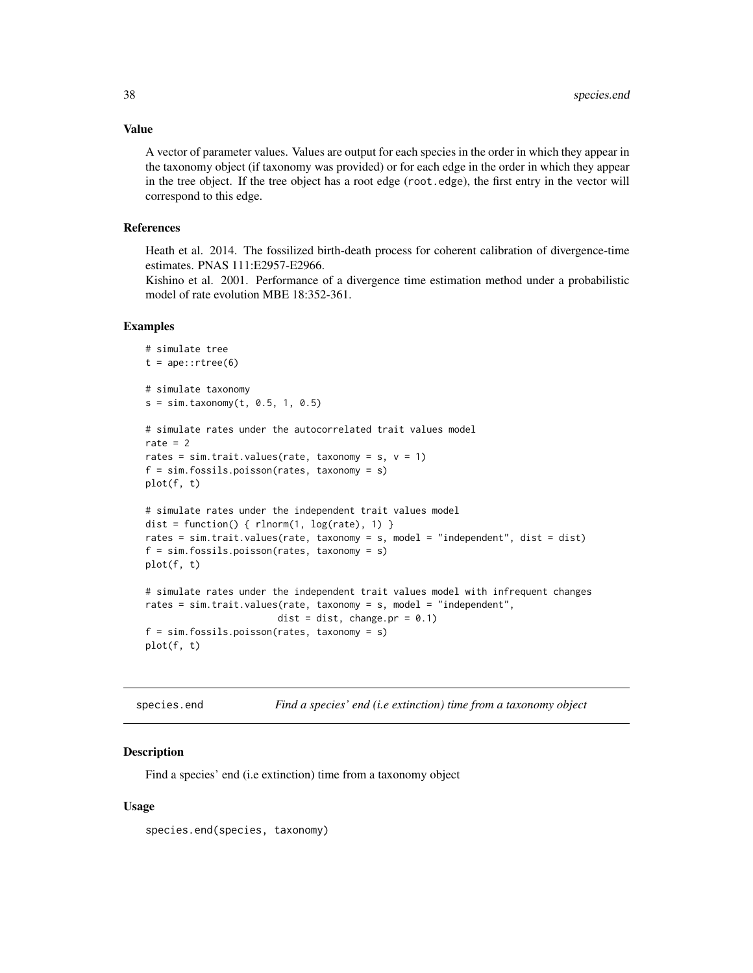Value

A vector of parameter values. Values are output for each species in the order in which they appear in the taxonomy object (if taxonomy was provided) or for each edge in the order in which they appear in the tree object. If the tree object has a root edge (root.edge), the first entry in the vector will correspond to this edge.

#### References

Heath et al. 2014. The fossilized birth-death process for coherent calibration of divergence-time estimates. PNAS 111:E2957-E2966.

Kishino et al. 2001. Performance of a divergence time estimation method under a probabilistic model of rate evolution MBE 18:352-361.

#### Examples

```
# simulate tree
t = ape::rtree(6)# simulate taxonomy
s = sim.taxonomy(t, 0.5, 1, 0.5)# simulate rates under the autocorrelated trait values model
rate = 2rates = sim.trait.values(rate, taxonomy = s, v = 1)
f = sim.fossils.poisson(rates, taxonomy = s)plot(f, t)
# simulate rates under the independent trait values model
dist = function() { rlnorm(1, log(rate), 1) }
rates = sim.trait.values(rate, taxonomy = s, model = "independent", dist = dist)
f = sim.fossils.poisson(rates, taxonomy = s)plot(f, t)
# simulate rates under the independent trait values model with infrequent changes
rates = sim.trait.values(rate, taxonomy = s, model = "independent",
                        dist = dist, change.pr = 0.1)
f = sim.fossils.poisson(rates, taxonomy = s)plot(f, t)
```
species.end *Find a species' end (i.e extinction) time from a taxonomy object*

#### **Description**

Find a species' end (i.e extinction) time from a taxonomy object

#### Usage

species.end(species, taxonomy)

<span id="page-37-0"></span>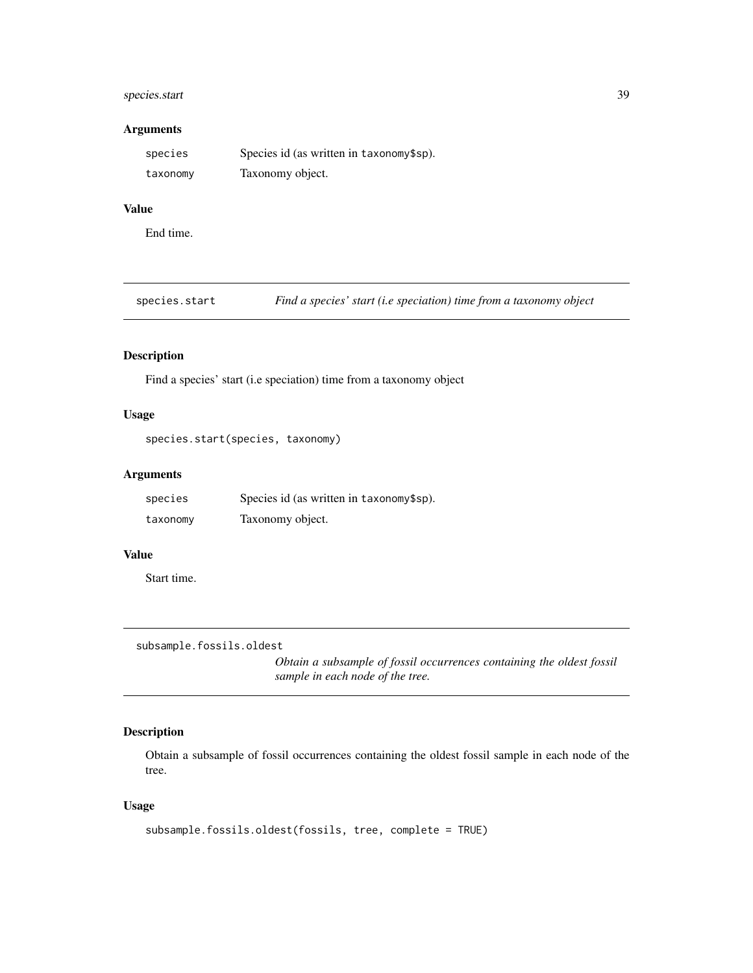# <span id="page-38-0"></span>species.start 39

#### Arguments

| species  | Species id (as written in taxonomy\$sp). |
|----------|------------------------------------------|
| taxonomy | Taxonomy object.                         |

# Value

End time.

species.start *Find a species' start (i.e speciation) time from a taxonomy object*

# Description

Find a species' start (i.e speciation) time from a taxonomy object

#### Usage

```
species.start(species, taxonomy)
```
# Arguments

| species  | Species id (as written in taxonomy\$sp). |
|----------|------------------------------------------|
| taxonomy | Taxonomy object.                         |

# Value

Start time.

subsample.fossils.oldest

*Obtain a subsample of fossil occurrences containing the oldest fossil sample in each node of the tree.*

# Description

Obtain a subsample of fossil occurrences containing the oldest fossil sample in each node of the tree.

# Usage

```
subsample.fossils.oldest(fossils, tree, complete = TRUE)
```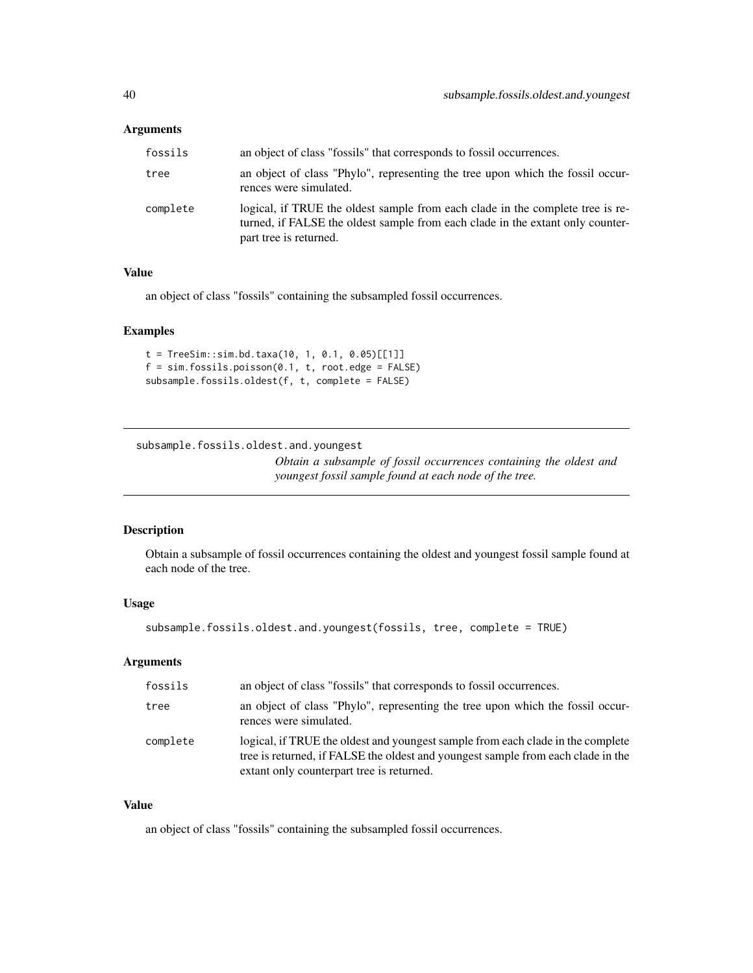#### <span id="page-39-0"></span>Arguments

| fossils  | an object of class "fossils" that corresponds to fossil occurrences.                                                                                                                       |
|----------|--------------------------------------------------------------------------------------------------------------------------------------------------------------------------------------------|
| tree     | an object of class "Phylo", representing the tree upon which the fossil occur-<br>rences were simulated.                                                                                   |
| complete | logical, if TRUE the oldest sample from each clade in the complete tree is re-<br>turned, if FALSE the oldest sample from each clade in the extant only counter-<br>part tree is returned. |

#### Value

an object of class "fossils" containing the subsampled fossil occurrences.

# Examples

```
t = TreeSim::sim.bd.taxa(10, 1, 0.1, 0.05)[[1]]f = sim.fossils.poisson(0.1, t, root. edge = FALSE)subsample.fossils.oldest(f, t, complete = FALSE)
```
subsample.fossils.oldest.and.youngest

*Obtain a subsample of fossil occurrences containing the oldest and youngest fossil sample found at each node of the tree.*

#### Description

Obtain a subsample of fossil occurrences containing the oldest and youngest fossil sample found at each node of the tree.

#### Usage

```
subsample.fossils.oldest.and.youngest(fossils, tree, complete = TRUE)
```
# Arguments

| fossils  | an object of class "fossils" that corresponds to fossil occurrences.                                                                                                                                             |
|----------|------------------------------------------------------------------------------------------------------------------------------------------------------------------------------------------------------------------|
| tree     | an object of class "Phylo", representing the tree upon which the fossil occur-<br>rences were simulated.                                                                                                         |
| complete | logical, if TRUE the oldest and youngest sample from each clade in the complete<br>tree is returned, if FALSE the oldest and youngest sample from each clade in the<br>extant only counterpart tree is returned. |

# Value

an object of class "fossils" containing the subsampled fossil occurrences.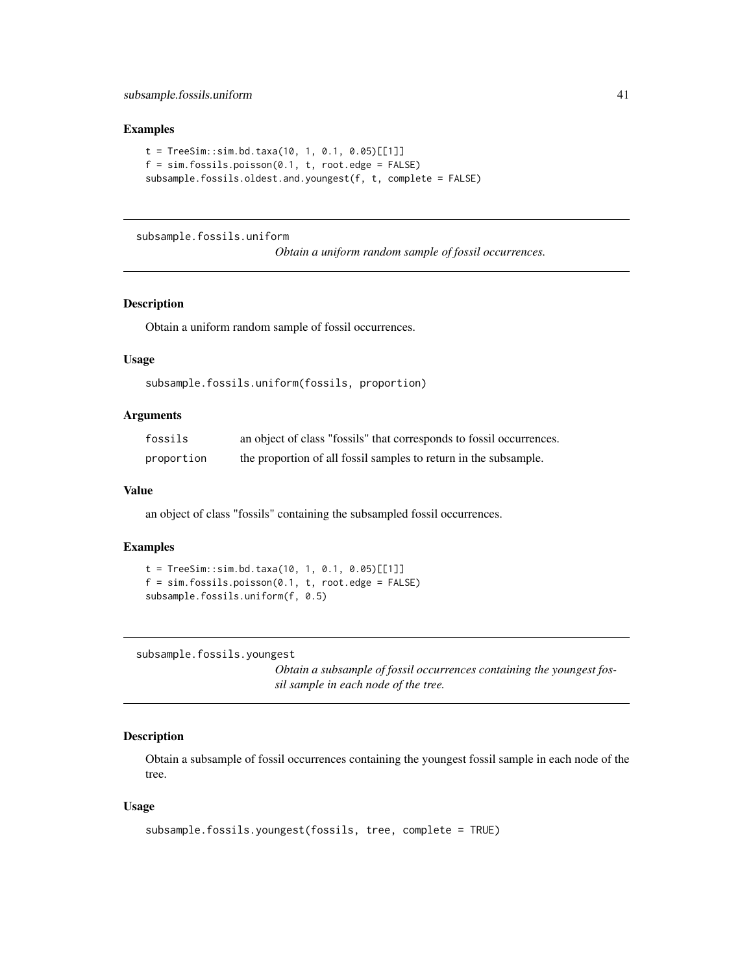#### <span id="page-40-0"></span>Examples

```
t = TreeSim::sim.bd.taxa(10, 1, 0.1, 0.05)[[1]]f = sim.fossils.poisson(0.1, t, root. edge = FALSE)subsample.fossils.oldest.and.youngest(f, t, complete = FALSE)
```
#### subsample.fossils.uniform

*Obtain a uniform random sample of fossil occurrences.*

# Description

Obtain a uniform random sample of fossil occurrences.

#### Usage

```
subsample.fossils.uniform(fossils, proportion)
```
#### Arguments

| fossils    | an object of class "fossils" that corresponds to fossil occurrences. |
|------------|----------------------------------------------------------------------|
| proportion | the proportion of all fossil samples to return in the subsample.     |

#### Value

an object of class "fossils" containing the subsampled fossil occurrences.

#### Examples

```
t = TreeSim::sim.bd.taxa(10, 1, 0.1, 0.05)[[1]]f = sim.fossils.poisson(0.1, t, root. edge = FALSE)subsample.fossils.uniform(f, 0.5)
```
subsample.fossils.youngest

*Obtain a subsample of fossil occurrences containing the youngest fossil sample in each node of the tree.*

#### Description

Obtain a subsample of fossil occurrences containing the youngest fossil sample in each node of the tree.

#### Usage

```
subsample.fossils.youngest(fossils, tree, complete = TRUE)
```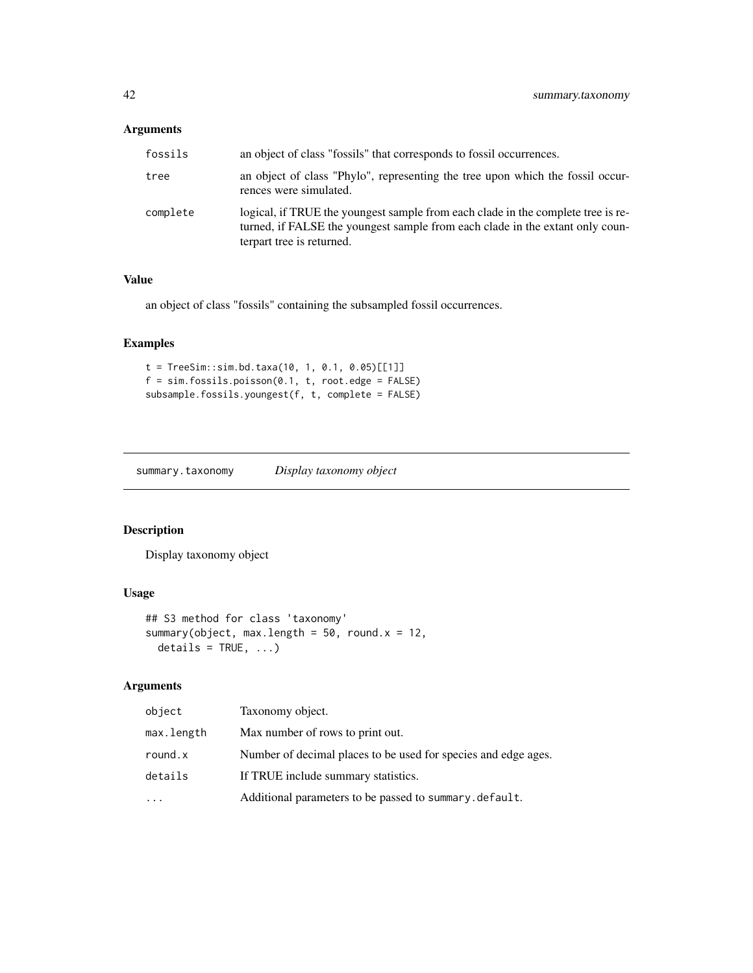# <span id="page-41-0"></span>Arguments

| fossils  | an object of class "fossils" that corresponds to fossil occurrences.                                                                                                                           |
|----------|------------------------------------------------------------------------------------------------------------------------------------------------------------------------------------------------|
| tree     | an object of class "Phylo", representing the tree upon which the fossil occur-<br>rences were simulated.                                                                                       |
| complete | logical, if TRUE the youngest sample from each clade in the complete tree is re-<br>turned, if FALSE the youngest sample from each clade in the extant only coun-<br>terpart tree is returned. |

#### Value

an object of class "fossils" containing the subsampled fossil occurrences.

# Examples

```
t = TreeSim::sim.bd.taxa(10, 1, 0.1, 0.05)[[1]]
f = sim.fossils.poisson(0.1, t, root. edge = FALSE)subsample.fossils.youngest(f, t, complete = FALSE)
```
summary.taxonomy *Display taxonomy object*

# Description

Display taxonomy object

# Usage

```
## S3 method for class 'taxonomy'
summary(object, max.length = 50, round.x = 12,
 details = TRUE, ...)
```

| object     | Taxonomy object.                                               |
|------------|----------------------------------------------------------------|
| max.length | Max number of rows to print out.                               |
| round.x    | Number of decimal places to be used for species and edge ages. |
| details    | If TRUE include summary statistics.                            |
| $\ddotsc$  | Additional parameters to be passed to summary.default.         |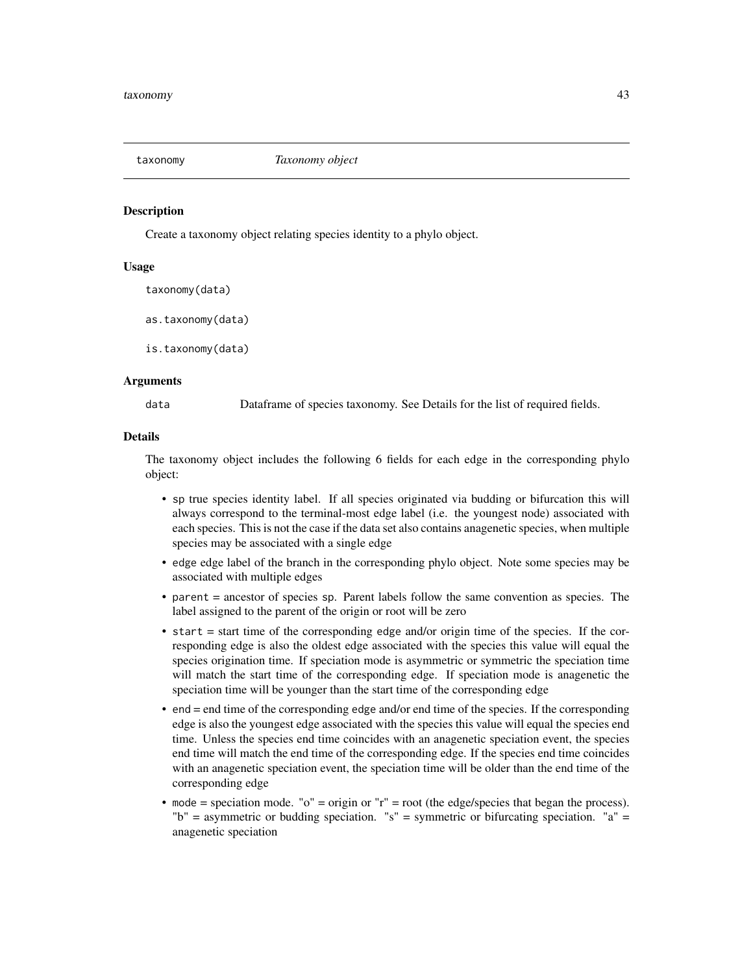<span id="page-42-1"></span><span id="page-42-0"></span>

Create a taxonomy object relating species identity to a phylo object.

#### Usage

taxonomy(data)

as.taxonomy(data)

is.taxonomy(data)

#### Arguments

data Dataframe of species taxonomy. See Details for the list of required fields.

#### Details

The taxonomy object includes the following 6 fields for each edge in the corresponding phylo object:

- sp true species identity label. If all species originated via budding or bifurcation this will always correspond to the terminal-most edge label (i.e. the youngest node) associated with each species. This is not the case if the data set also contains anagenetic species, when multiple species may be associated with a single edge
- edge edge label of the branch in the corresponding phylo object. Note some species may be associated with multiple edges
- parent = ancestor of species sp. Parent labels follow the same convention as species. The label assigned to the parent of the origin or root will be zero
- $\bullet$  start = start time of the corresponding edge and/or origin time of the species. If the corresponding edge is also the oldest edge associated with the species this value will equal the species origination time. If speciation mode is asymmetric or symmetric the speciation time will match the start time of the corresponding edge. If speciation mode is anagenetic the speciation time will be younger than the start time of the corresponding edge
- end = end time of the corresponding edge and/or end time of the species. If the corresponding edge is also the youngest edge associated with the species this value will equal the species end time. Unless the species end time coincides with an anagenetic speciation event, the species end time will match the end time of the corresponding edge. If the species end time coincides with an anagenetic speciation event, the speciation time will be older than the end time of the corresponding edge
- mode = speciation mode. " $o$ " = origin or " $r$ " = root (the edge/species that began the process). "b" = asymmetric or budding speciation. "s" = symmetric or bifurcating speciation. "a" = anagenetic speciation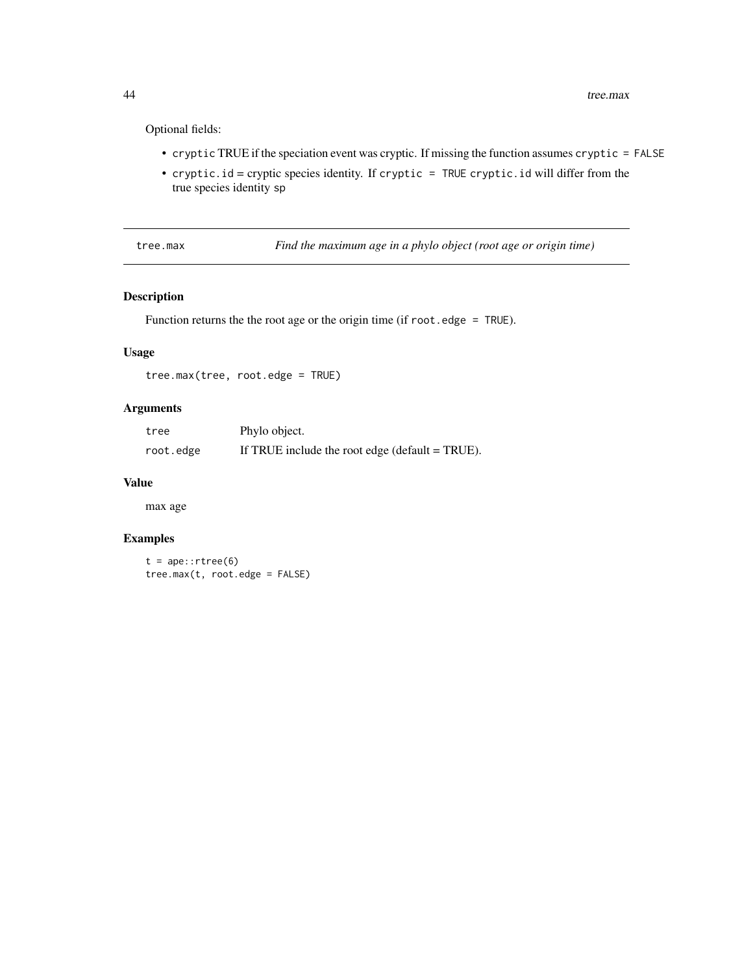Optional fields:

- cryptic TRUE if the speciation event was cryptic. If missing the function assumes cryptic = FALSE
- cryptic.id = cryptic species identity. If cryptic = TRUE cryptic.id will differ from the true species identity sp

tree.max *Find the maximum age in a phylo object (root age or origin time)*

# Description

Function returns the the root age or the origin time (if root.edge = TRUE).

# Usage

tree.max(tree, root.edge = TRUE)

#### Arguments

| tree      | Phylo object.                                     |
|-----------|---------------------------------------------------|
| root.edge | If TRUE include the root edge (default $=$ TRUE). |

#### Value

max age

# Examples

 $t = ape::rtree(6)$ tree.max(t, root.edge = FALSE)

<span id="page-43-0"></span>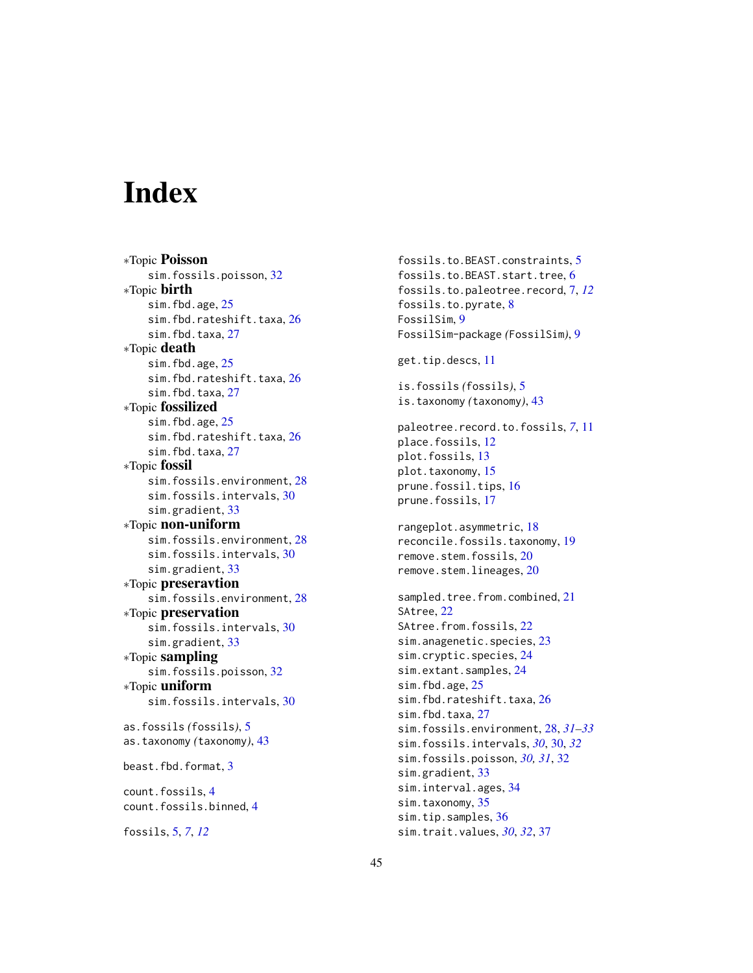# <span id="page-44-0"></span>**Index**

∗Topic Poisson sim.fossils.poisson, [32](#page-31-0) ∗Topic birth sim.fbd.age, [25](#page-24-0) sim.fbd.rateshift.taxa, [26](#page-25-0) sim.fbd.taxa, [27](#page-26-0) ∗Topic death sim.fbd.age, [25](#page-24-0) sim.fbd.rateshift.taxa, [26](#page-25-0) sim.fbd.taxa, [27](#page-26-0) ∗Topic fossilized sim.fbd.age, [25](#page-24-0) sim.fbd.rateshift.taxa, [26](#page-25-0) sim.fbd.taxa, [27](#page-26-0) ∗Topic fossil sim.fossils.environment, [28](#page-27-0) sim.fossils.intervals, [30](#page-29-0) sim.gradient, [33](#page-32-0) ∗Topic non-uniform sim.fossils.environment, [28](#page-27-0) sim.fossils.intervals, [30](#page-29-0) sim.gradient, [33](#page-32-0) ∗Topic preseravtion sim.fossils.environment, [28](#page-27-0) ∗Topic preservation sim.fossils.intervals, [30](#page-29-0) sim.gradient, [33](#page-32-0) ∗Topic sampling sim.fossils.poisson, [32](#page-31-0) ∗Topic uniform sim.fossils.intervals, [30](#page-29-0) as.fossils *(*fossils*)*, [5](#page-4-0) as.taxonomy *(*taxonomy*)*, [43](#page-42-0) beast.fbd.format, [3](#page-2-0) count.fossils, [4](#page-3-0)

```
count.fossils.binned, 4
```
fossils, [5,](#page-4-0) *[7](#page-6-0)*, *[12](#page-11-0)*

fossils.to.BEAST.constraints, [5](#page-4-0) fossils.to.BEAST.start.tree, [6](#page-5-0) fossils.to.paleotree.record, [7,](#page-6-0) *[12](#page-11-0)* fossils.to.pyrate, [8](#page-7-0) FossilSim, [9](#page-8-0) FossilSim-package *(*FossilSim*)*, [9](#page-8-0) get.tip.descs, [11](#page-10-0) is.fossils *(*fossils*)*, [5](#page-4-0) is.taxonomy *(*taxonomy*)*, [43](#page-42-0) paleotree.record.to.fossils, *[7](#page-6-0)*, [11](#page-10-0) place.fossils, [12](#page-11-0) plot.fossils, [13](#page-12-0) plot.taxonomy, [15](#page-14-0) prune.fossil.tips, [16](#page-15-0) prune.fossils, [17](#page-16-0) rangeplot.asymmetric, [18](#page-17-0) reconcile.fossils.taxonomy, [19](#page-18-0) remove.stem.fossils, [20](#page-19-0) remove.stem.lineages, [20](#page-19-0) sampled.tree.from.combined, [21](#page-20-0) SAtree, [22](#page-21-0) SAtree.from.fossils, [22](#page-21-0) sim.anagenetic.species, [23](#page-22-0) sim.cryptic.species, [24](#page-23-0) sim.extant.samples, [24](#page-23-0) sim.fbd.age, [25](#page-24-0) sim.fbd.rateshift.taxa, [26](#page-25-0) sim.fbd.taxa, [27](#page-26-0) sim.fossils.environment, [28,](#page-27-0) *[31](#page-30-0)[–33](#page-32-0)* sim.fossils.intervals, *[30](#page-29-0)*, [30,](#page-29-0) *[32](#page-31-0)* sim.fossils.poisson, *[30,](#page-29-0) [31](#page-30-0)*, [32](#page-31-0) sim.gradient, [33](#page-32-0) sim.interval.ages, [34](#page-33-0) sim.taxonomy, [35](#page-34-0) sim.tip.samples, [36](#page-35-0) sim.trait.values, *[30](#page-29-0)*, *[32](#page-31-0)*, [37](#page-36-0)